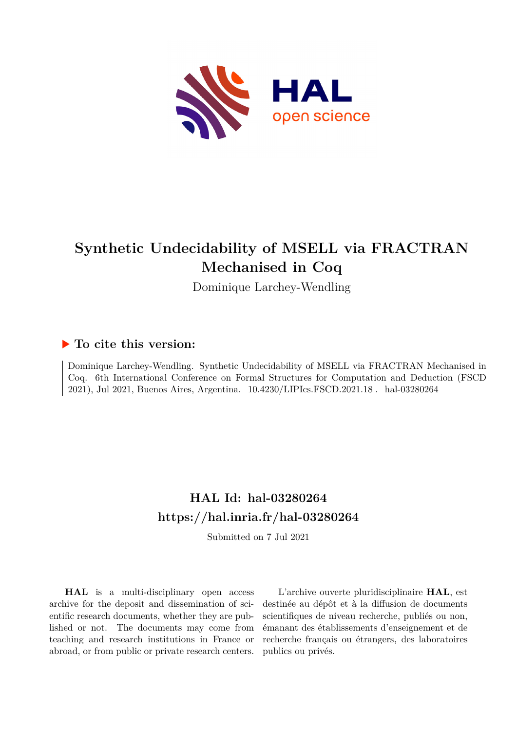

# **Synthetic Undecidability of MSELL via FRACTRAN Mechanised in Coq**

Dominique Larchey-Wendling

## **To cite this version:**

Dominique Larchey-Wendling. Synthetic Undecidability of MSELL via FRACTRAN Mechanised in Coq. 6th International Conference on Formal Structures for Computation and Deduction (FSCD 2021), Jul 2021, Buenos Aires, Argentina.  $10.4230/LIPIs.FSCD.2021.18$ . hal-03280264

# **HAL Id: hal-03280264 <https://hal.inria.fr/hal-03280264>**

Submitted on 7 Jul 2021

**HAL** is a multi-disciplinary open access archive for the deposit and dissemination of scientific research documents, whether they are published or not. The documents may come from teaching and research institutions in France or abroad, or from public or private research centers.

L'archive ouverte pluridisciplinaire **HAL**, est destinée au dépôt et à la diffusion de documents scientifiques de niveau recherche, publiés ou non, émanant des établissements d'enseignement et de recherche français ou étrangers, des laboratoires publics ou privés.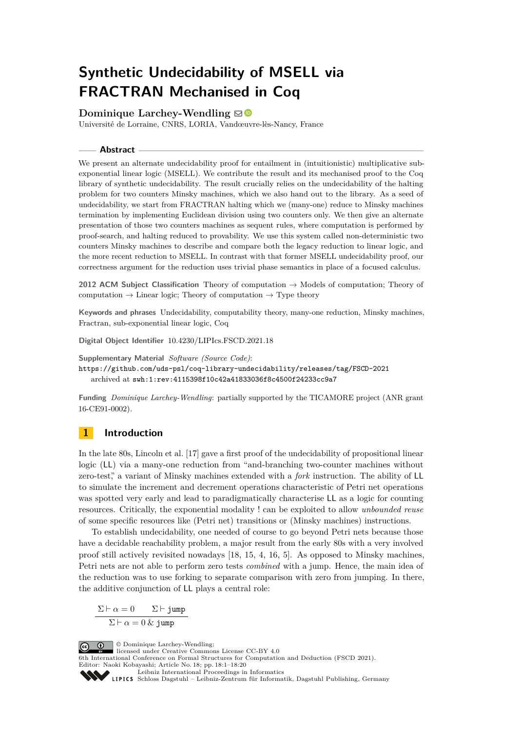# **Synthetic Undecidability of MSELL via FRACTRAN Mechanised in Coq**

**Dominique Larchey-Wendling**  $\boxtimes$ 

Université de Lorraine, CNRS, LORIA, Vandœuvre-lès-Nancy, France

### **Abstract**

We present an alternate undecidability proof for entailment in (intuitionistic) multiplicative subexponential linear logic (MSELL). We contribute the result and its mechanised proof to the Coq library of synthetic undecidability. The result crucially relies on the undecidability of the halting problem for two counters Minsky machines, which we also hand out to the library. As a seed of undecidability, we start from FRACTRAN halting which we (many-one) reduce to Minsky machines termination by implementing Euclidean division using two counters only. We then give an alternate presentation of those two counters machines as sequent rules, where computation is performed by proof-search, and halting reduced to provability. We use this system called non-deterministic two counters Minsky machines to describe and compare both the legacy reduction to linear logic, and the more recent reduction to MSELL. In contrast with that former MSELL undecidability proof, our correctness argument for the reduction uses trivial phase semantics in place of a focused calculus.

**2012 ACM Subject Classification** Theory of computation → Models of computation; Theory of computation  $\rightarrow$  Linear logic; Theory of computation  $\rightarrow$  Type theory

**Keywords and phrases** Undecidability, computability theory, many-one reduction, Minsky machines, Fractran, sub-exponential linear logic, Coq

**Digital Object Identifier** [10.4230/LIPIcs.FSCD.2021.18](https://doi.org/10.4230/LIPIcs.FSCD.2021.18)

**Supplementary Material** *Software (Source Code)*: <https://github.com/uds-psl/coq-library-undecidability/releases/tag/FSCD-2021> archived at [swh:1:rev:4115398f10c42a41833036f8c4500f24233cc9a7](https://archive.softwareheritage.org/swh:1:rev:4115398f10c42a41833036f8c4500f24233cc9a7;origin=https://github.com/uds-psl/coq-library-undecidability;visit=swh:1:snp:ee0a960272123425664539ce2e47e3bfeca6b43c)

**Funding** *Dominique Larchey-Wendling*: partially supported by the [TICAMORE](https://ticamore.logic.at/) project [\(ANR grant](http://www.agence-nationale-recherche.fr/?Projet=ANR-16-CE91-0002) [16-CE91-0002\)](http://www.agence-nationale-recherche.fr/?Projet=ANR-16-CE91-0002).

## **1 Introduction**

In the late 80s, Lincoln et al. [17] gave a first proof of the undecidability of propositional linear logic (LL) via a many-one reduction from "and-branching two-counter machines without zero-test," a variant of Minsky machines extended with a *fork* instruction. The ability of LL to simulate the increment and decrement operations characteristic of Petri net operations was spotted very early and lead to paradigmatically characterise LL as a logic for counting resources. Critically, the exponential modality ! can be exploited to allow *unbounded reuse* of some specific resources like (Petri net) transitions or (Minsky machines) instructions.

To establish undecidability, one needed of course to go beyond Petri nets because those have a decidable reachability problem, a major result from the early 80s with a very involved proof still actively revisited nowadays [18, 15, 4, 16, 5]. As opposed to Minsky machines, Petri nets are not able to perform zero tests *combined* with a jump. Hence, the main idea of the reduction was to use forking to separate comparison with zero from jumping. In there, the additive conjunction of LL plays a central role:

$$
\frac{\Sigma \vdash \alpha = 0 \qquad \Sigma \vdash \texttt{jump}}{\Sigma \vdash \alpha = 0 \text{ \& } \texttt{jump}}
$$

© Dominique Larchey-Wendling;  $\boxed{6}$  0 licensed under Creative Commons License CC-BY 4.0 6th International Conference on Formal Structures for Computation and Deduction (FSCD 2021). Editor: Naoki Kobayashi; Article No. 18; pp. 18:1–18:20 [Leibniz International Proceedings in Informatics](https://www.dagstuhl.de/lipics/)

[Schloss Dagstuhl – Leibniz-Zentrum für Informatik, Dagstuhl Publishing, Germany](https://www.dagstuhl.de)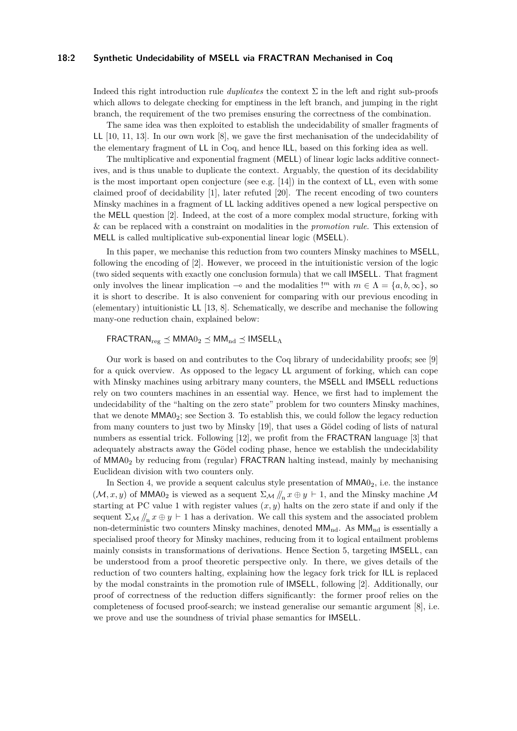#### **18:2 Synthetic Undecidability of MSELL via FRACTRAN Mechanised in Coq**

Indeed this right introduction rule *duplicates* the context Σ in the left and right sub-proofs which allows to delegate checking for emptiness in the left branch, and jumping in the right branch, the requirement of the two premises ensuring the correctness of the combination.

The same idea was then exploited to establish the undecidability of smaller fragments of LL [10, 11, 13]. In our own work [8], we gave the first mechanisation of the undecidability of the elementary fragment of LL in Coq, and hence ILL, based on this forking idea as well.

The multiplicative and exponential fragment (MELL) of linear logic lacks additive connectives, and is thus unable to duplicate the context. Arguably, the question of its decidability is the most important open conjecture (see e.g. [14]) in the context of LL, even with some claimed proof of decidability [1], later refuted [20]. The recent encoding of two counters Minsky machines in a fragment of LL lacking additives opened a new logical perspective on the MELL question [2]. Indeed, at the cost of a more complex modal structure, forking with & can be replaced with a constraint on modalities in the *promotion rule*. This extension of MELL is called multiplicative sub-exponential linear logic (MSELL).

In this paper, we mechanise this reduction from two counters Minsky machines to MSELL, following the encoding of [2]. However, we proceed in the intuitionistic version of the logic (two sided sequents with exactly one conclusion formula) that we call IMSELL. That fragment only involves the linear implication  $\sim$  and the modalities !<sup>*m*</sup> with  $m \in \Lambda = \{a, b, \infty\}$ , so it is short to describe. It is also convenient for comparing with our previous encoding in (elementary) intuitionistic LL [13, 8]. Schematically, we describe and mechanise the following many-one reduction chain, explained below:

## $FRACTRAM_{res} \prec MMAO_2 \prec MM_{nd} \prec IMSELL_A$

Our work is based on and contributes to the [Coq library of undecidability proofs;](https://github.com/uds-psl/coq-library-undecidability) see [9] for a quick overview. As opposed to the legacy LL argument of forking, which can cope with Minsky machines using arbitrary many counters, the MSELL and IMSELL reductions rely on two counters machines in an essential way. Hence, we first had to implement the undecidability of the "halting on the zero state" problem for two counters Minsky machines, that we denote MMA02; see Section 3. To establish this, we could follow the legacy reduction from many counters to just two by Minsky [19], that uses a Gödel coding of lists of natural numbers as essential trick. Following [12], we profit from the FRACTRAN language [3] that adequately abstracts away the Gödel coding phase, hence we establish the undecidability of MMA0<sup>2</sup> by reducing from (regular) FRACTRAN halting instead, mainly by mechanising Euclidean division with two counters only.

In Section 4, we provide a sequent calculus style presentation of  $MMA0<sub>2</sub>$ , i.e. the instance  $(M, x, y)$  of MMA0<sub>2</sub> is viewed as a sequent  $\Sigma_M / \! /_n x \oplus y \vdash 1$ , and the Minsky machine M starting at PC value 1 with register values  $(x, y)$  halts on the zero state if and only if the sequent  $\Sigma_{\mathcal{M}}$  //<sub>n</sub>  $x \oplus y \vdash 1$  has a derivation. We call this system and the associated problem non-deterministic two counters Minsky machines, denoted  $MM_{nd}$ . As  $MM_{nd}$  is essentially a specialised proof theory for Minsky machines, reducing from it to logical entailment problems mainly consists in transformations of derivations. Hence Section 5, targeting IMSELL, can be understood from a proof theoretic perspective only. In there, we gives details of the reduction of two counters halting, explaining how the legacy fork trick for ILL is replaced by the modal constraints in the promotion rule of IMSELL, following [2]. Additionally, our proof of correctness of the reduction differs significantly: the former proof relies on the completeness of focused proof-search; we instead generalise our semantic argument [8], i.e. we prove and use the soundness of trivial phase semantics for IMSELL.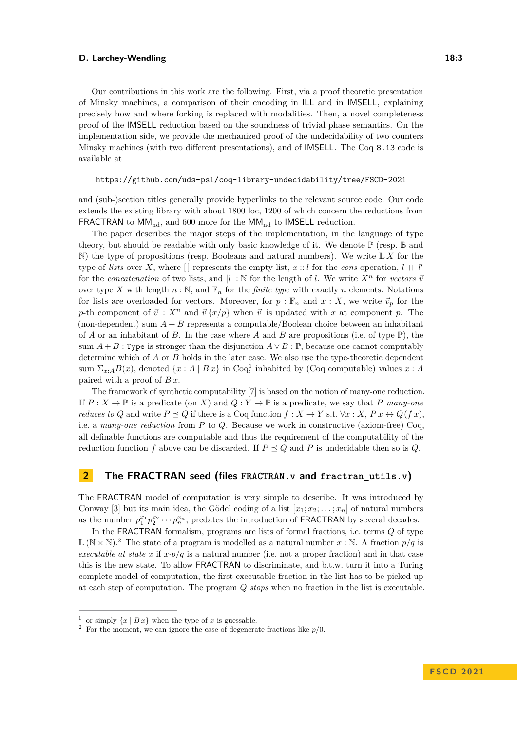Our contributions in this work are the following. First, via a proof theoretic presentation of Minsky machines, a comparison of their encoding in ILL and in IMSELL, explaining precisely how and where forking is replaced with modalities. Then, a novel completeness proof of the IMSELL reduction based on the soundness of trivial phase semantics. On the implementation side, we provide the mechanized proof of the undecidability of two counters Minsky machines (with two different presentations), and of IMSELL. The Coq 8.13 code is available at

<https://github.com/uds-psl/coq-library-undecidability/tree/FSCD-2021>

and (sub-)section titles generally provide hyperlinks to the relevant source code. Our code extends the existing library with about 1800 loc, 1200 of which concern the reductions from FRACTRAN to  $MM_{nd}$ , and 600 more for the  $MM_{nd}$  to IMSELL reduction.

The paper describes the major steps of the implementation, in the language of type theory, but should be readable with only basic knowledge of it. We denote  $\mathbb{P}$  (resp.  $\mathbb{B}$  and  $\mathbb N$ ) the type of propositions (resp. Booleans and natural numbers). We write  $\mathbb L X$  for the type of *lists* over X, where  $\Box$  represents the empty list,  $x:: l$  for the *cons* operation,  $l + l'$ for the *concatenation* of two lists, and  $|l|$  : N for the length of *l*. We write  $X^n$  for *vectors*  $\vec{v}$ over type X with length  $n : \mathbb{N}$ , and  $\mathbb{F}_n$  for the *finite type* with exactly *n* elements. Notations for lists are overloaded for vectors. Moreover, for  $p : \mathbb{F}_n$  and  $x : X$ , we write  $\vec{v}_p$  for the *p*-th component of  $\vec{v}$ :  $X^n$  and  $\vec{v} \{x/p\}$  when  $\vec{v}$  is updated with *x* at component *p*. The (non-dependent) sum  $A + B$  represents a computable/Boolean choice between an inhabitant of *A* or an inhabitant of *B*. In the case where *A* and *B* are propositions (i.e. of type  $\mathbb{P}$ ), the sum  $A + B$ : Type is stronger than the disjunction  $A \vee B$ : P, because one cannot computably determine which of *A* or *B* holds in the later case. We also use the type-theoretic dependent sum  $\Sigma_{x:A}B(x)$ , denoted  $\{x:A \mid Bx\}$  in Coq,<sup>1</sup> inhabited by (Coq computable) values  $x:A$ paired with a proof of *B x*.

The framework of synthetic computability [7] is based on the notion of many-one reduction. If  $P: X \to \mathbb{P}$  is a predicate (on *X*) and  $Q: Y \to \mathbb{P}$  is a predicate, we say that *P* many-one *reduces to Q* and write  $P \leq Q$  if there is a Coq function  $f: X \to Y$  s.t.  $\forall x: X, P x \leftrightarrow Q(f x)$ , i.e. a *many-one reduction* from *P* to *Q*. Because we work in constructive (axiom-free) Coq, all definable functions are computable and thus the requirement of the computability of the reduction function *f* above can be discarded. If  $P \leq Q$  and *P* is undecidable then so is *Q*.

## **2 The FRACTRAN seed (files [FRACTRAN.v](https://github.com/uds-psl/coq-library-undecidability/blob/FSCD-2021/theories/FRACTRAN/FRACTRAN.v) and [fractran\\_utils.v](https://github.com/uds-psl/coq-library-undecidability/blob/FSCD-2021/theories/FRACTRAN/FRACTRAN/fractran_utils.v))**

The FRACTRAN model of computation is very simple to describe. It was introduced by Conway [3] but its main idea, the Gödel coding of a list  $[x_1; x_2; \ldots; x_n]$  of natural numbers as the number  $p_1^{x_1} p_2^{x_2} \cdots p_n^{x_n}$ , predates the introduction of **FRACTRAN** by several decades.

In the FRACTRAN formalism, programs are lists of formal fractions, i.e. terms *Q* of type  $\mathbb{L}(\mathbb{N} \times \mathbb{N})$ .<sup>2</sup> The state of a program is modelled as a natural number  $x : \mathbb{N}$ . A fraction  $p/q$  is *executable at state x* if  $x \cdot p/q$  is a natural number (i.e. not a proper fraction) and in that case this is the new state. To allow FRACTRAN to discriminate, and b.t.w. turn it into a Turing complete model of computation, the first executable fraction in the list has to be picked up at each step of computation. The program *Q stops* when no fraction in the list is executable.

<sup>&</sup>lt;sup>1</sup> or simply  $\{x \mid Bx\}$  when the type of *x* is guessable.

<sup>&</sup>lt;sup>2</sup> For the moment, we can ignore the case of degenerate fractions like  $p/0$ .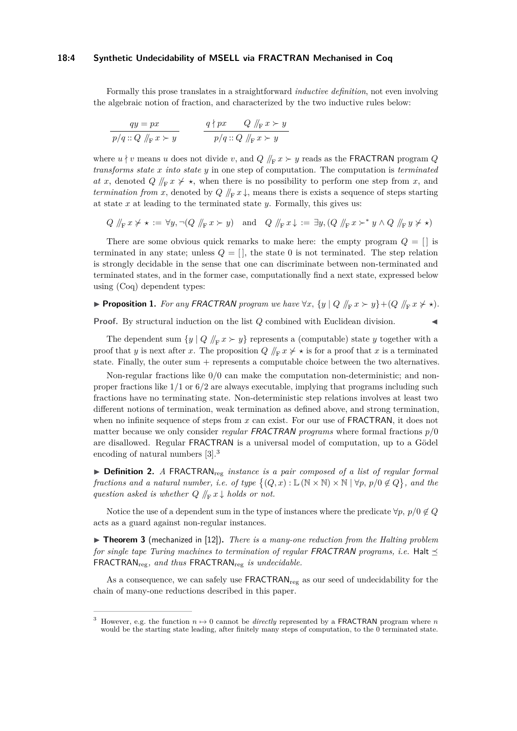#### **18:4 Synthetic Undecidability of MSELL via FRACTRAN Mechanised in Coq**

Formally this prose translates in a straightforward *inductive definition*, not even involving the algebraic notion of fraction, and characterized by the two inductive rules below:

$$
\frac{qy = px}{p/q :: Q \sqrt{\vert_{F} x \succ y}}
$$
\n
$$
\frac{q \nmid px \quad Q \sqrt{\vert_{F} x \succ y}}{p/q :: Q \sqrt{\vert_{F} x \succ y}}
$$

where  $u \nmid v$  means *u* does not divide *v*, and  $Q \nmid_{F} x \succ y$  reads as the FRACTRAN program  $Q$ *transforms state x into state y* in one step of computation. The computation is *terminated at x*, denoted *Q*  $/ \nvert_F x \nvert \nvert \nvert x$ , when there is no possibility to perform one step from *x*, and *termination from x*, denoted by  $Q \nparallel_F x \downarrow$ , means there is exists a sequence of steps starting at state *x* at leading to the terminated state *y*. Formally, this gives us:

 $Q \nvert_{F} x \nsucc \star := \forall y, \neg (Q \nvert_{F} x \succ y) \text{ and } Q \nvert_{F} x \downarrow := \exists y, (Q \nvert_{F} x \succ^* y \wedge Q \nvert_{F} y \not\prec \star)$ 

There are some obvious quick remarks to make here: the empty program  $Q = []$  is terminated in any state; unless  $Q = [$ , the state 0 is not terminated. The step relation is strongly decidable in the sense that one can discriminate between non-terminated and terminated states, and in the former case, computationally find a next state, expressed below using (Coq) dependent types:

## ▶ **Proposition 1.** For any FRACTRAN program we have  $\forall x, \{y \mid Q \#_{\mathbb{F}} x \succ y\} + (Q \#_{\mathbb{F}} x \not \succ \star)$ .

**Proof.** By structural induction on the list *Q* combined with Euclidean division.

The dependent sum  $\{y \mid Q \mid F x \succ y\}$  represents a (computable) state *y* together with a proof that *y* is next after *x*. The proposition  $Q \nvert_F x \nbrace{\star} x$  is for a proof that *x* is a terminated state. Finally, the outer sum + represents a computable choice between the two alternatives.

Non-regular fractions like 0*/*0 can make the computation non-deterministic; and nonproper fractions like 1*/*1 or 6*/*2 are always executable, implying that programs including such fractions have no terminating state. Non-deterministic step relations involves at least two different notions of termination, weak termination as defined above, and strong termination, when no infinite sequence of steps from *x* can exist. For our use of **FRACTRAN**, it does not matter because we only consider *regular* FRACTRAN *programs* where formal fractions *p/*0 are disallowed. Regular FRACTRAN is a universal model of computation, up to a Gödel encoding of natural numbers [3].3

▶ **Definition 2.** *A* FRACTRAN<sub>reg</sub> *instance is a pair composed of a list of regular formal fractions and a natural number, i.e. of type*  $\{(Q, x) : \mathbb{L}(\mathbb{N} \times \mathbb{N}) \times \mathbb{N} \mid \forall p, p/0 \notin Q\}$ , and the *question asked is whether*  $Q \nparallel_F x \downarrow holds or not.$ 

Notice the use of a dependent sum in the type of instances where the predicate  $\forall p, p/0 \notin Q$ acts as a guard against non-regular instances.

▶ **Theorem 3** [\(mechanized in \[12\]\)](https://github.com/uds-psl/coq-library-undecidability/blob/FSCD-2021/theories/FRACTRAN/FRACTRAN_undec.v)**.** *There is a many-one reduction from the Halting problem for single tape Turing machines to termination of regular FRACTRAN programs, i.e.* Halt  $\prec$ FRACTRAN<sub>reg</sub>, and thus FRACTRAN<sub>reg</sub> is undecidable.

As a consequence, we can safely use  $\mathsf{FRACTRAN}_\text{reg}$  as our seed of undecidability for the chain of many-one reductions described in this paper.

However, e.g. the function  $n \mapsto 0$  cannot be *directly* represented by a FRACTRAN program where *n* would be the starting state leading, after finitely many steps of computation, to the 0 terminated state.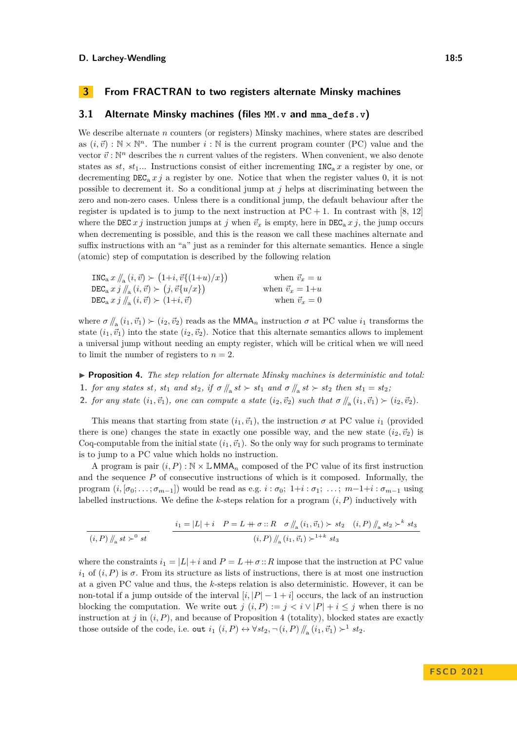## **3 From FRACTRAN to two registers alternate Minsky machines**

## **3.1 Alternate Minsky machines (files [MM.v](https://github.com/uds-psl/coq-library-undecidability/blob/FSCD-2021/theories/MinskyMachines/MM.v) and [mma\\_defs.v](https://github.com/uds-psl/coq-library-undecidability/blob/FSCD-2021/theories/MinskyMachines/MMA/mma_defs.v))**

We describe alternate *n* counters (or registers) Minsky machines, where states are described as  $(i, \vec{v}) : \mathbb{N} \times \mathbb{N}^n$ . The number  $i : \mathbb{N}$  is the current program counter (PC) value and the vector  $\vec{v}$ : N<sup>n</sup> describes the *n* current values of the registers. When convenient, we also denote states as  $st$ ,  $st_1$ ... Instructions consist of either incrementing INC<sub>a</sub> x a register by one, or decrementing  $DEC_a x j$  a register by one. Notice that when the register values 0, it is not possible to decrement it. So a conditional jump at *j* helps at discriminating between the zero and non-zero cases. Unless there is a conditional jump, the default behaviour after the register is updated is to jump to the next instruction at  $PC + 1$ . In contrast with [8, 12] where the DEC *x j* instruction jumps at *j* when  $\vec{v}_x$  is empty, here in DEC<sub>a</sub> *x j*, the jump occurs when decrementing is possible, and this is the reason we call these machines alternate and suffix instructions with an "a" just as a reminder for this alternate semantics. Hence a single (atomic) step of computation is described by the following relation

$$
\begin{aligned}\n\text{INC}_\text{a} x \, & \#_\text{a} (i, \vec{v}) \succ (1+i, \vec{v} \{ (1+u)/x \}) & \text{when } \vec{v}_x = u \\
\text{DEC}_\text{a} x \, & j \, \#_\text{a} (i, \vec{v}) \succ (j, \vec{v} \{ u/x \}) & \text{when } \vec{v}_x = 1+u \\
\text{DEC}_\text{a} x \, & j \, \#_\text{a} (i, \vec{v}) \succ (1+i, \vec{v}) & \text{when } \vec{v}_x = 0\n\end{aligned}
$$

where  $\sigma \, \parallel_a (i_1, \vec{v}_1) \succ (i_2, \vec{v}_2)$  reads as the MMA<sub>n</sub> instruction  $\sigma$  at PC value  $i_1$  transforms the state  $(i_1, \vec{v}_1)$  into the state  $(i_2, \vec{v}_2)$ . Notice that this alternate semantics allows to implement a universal jump without needing an empty register, which will be critical when we will need to limit the number of registers to  $n = 2$ .

▶ **Proposition 4.** *The step relation for alternate Minsky machines is deterministic and total:* **1.** *for any states st,*  $st_1$  *and*  $st_2$ , *if*  $\sigma / \vert_{\mathbf{a}} st \rangle$   $\succ st_1$  *and*  $\sigma / \vert_{\mathbf{a}} st \rangle$   $\succ st_2$  *then*  $st_1 = st_2$ ; **2.** *for any state*  $(i_1, \vec{v}_1)$ *, one can compute a state*  $(i_2, \vec{v}_2)$  *such that*  $\sigma / \! / \! / \! (i_1, \vec{v}_1) \succ (i_2, \vec{v}_2)$ *.* 

This means that starting from state  $(i_1, \vec{v}_1)$ , the instruction  $\sigma$  at PC value  $i_1$  (provided there is one) changes the state in exactly one possible way, and the new state  $(i_2, \vec{v}_2)$  is Coq-computable from the initial state  $(i_1, \vec{v_1})$ . So the only way for such programs to terminate is to jump to a PC value which holds no instruction.

A program is pair  $(i, P) : \mathbb{N} \times \mathbb{L}$  MMA<sub>n</sub> composed of the PC value of its first instruction and the sequence *P* of consecutive instructions of which is it composed. Informally, the program  $(i, [\sigma_0; \ldots; \sigma_{m-1}])$  would be read as e.g.  $i : \sigma_0; \; 1+i : \sigma_1; \; \ldots; \; m-1+i : \sigma_{m-1}$  using labelled instructions. We define the *k*-steps relation for a program (*i, P*) inductively with

$$
(i, P) \Big/ \Big/ \Big/ \Big/ \t s t \Big>^{0} s t \Big/ \Big/ \t \frac{i_1 = |L| + i \quad P = L + \sigma :: R \quad \sigma \Big/ \Big/ \t s \Big( i_1, \vec{v}_1 \Big) \Big> \t s t_2 \Big/ \t s t_3 \Big/ \t (i, P) \Big/ \t s t_4 \Big/ \t s t_3 \Big/ \t \Big/ \t s t_4 \Big/ \t s t_5 \Big/ \t s t_5 \Big/ \t s t_6 \Big/ \t s t_7 \Big/ \t s t_7 \Big/ \t s t_8 \Big/ \t s t_9 \Big/ \t s t_9 \Big/ \t s t_9 \Big/ \t s t_9 \Big/ \t s t_9 \Big/ \t s t_9 \Big/ \t s t_9 \Big/ \t s t_9 \Big/ \t s t_9 \Big/ \t s t_9 \Big/ \t s t_9 \Big/ \t s t_9 \Big/ \t s t_9 \Big/ \t s t_9 \Big/ \t s t_9 \Big/ \t s t_9 \Big/ \t s t_9 \Big/ \t s t_9 \Big/ \t s t_9 \Big/ \t s t_9 \Big/ \t s t_9 \Big/ \t s t_9 \Big/ \t s t_9 \Big/ \t s t_9 \Big/ \t s t_9 \Big/ \t s t_9 \Big/ \t s t_9 \Big/ \t s t_9 \Big/ \t s t_9 \Big/ \t s t_9 \Big/ \t s t_9 \Big/ \t s t_9 \Big/ \t s t_9 \Big/ \t s t_9 \Big/ \t s t_9 \Big/ \t s t_9 \Big/ \t s t_9 \Big/ \t s t_9 \Big/ \t s t_9 \Big/ \t s t_9 \Big/ \t s t_9 \Big/ \t s t_9 \Big/ \t s t_9 \Big/ \t s t_9 \Big/ \t s t_9 \Big/ \t s t_9 \Big/ \t s t_9 \Big/ \t s t_9 \Big/ \t s t_9 \Big/ \t s t_9 \Big/ \t s t_9 \Big/ \t s t_9 \Big/ \t s t_9 \Big/ \t s t_9 \Big/ \t s t_9 \Big/ \t s t_9 \Big/ \t s t_9 \Big/ \t s t_9 \Big/ \t s t_9 \Big/ \t s t_9 \Big/ \t s t_9 \Big/ \t s t_9 \
$$

where the constraints  $i_1 = |L| + i$  and  $P = L + \sigma$ : *R* impose that the instruction at PC value  $i_1$  of  $(i, P)$  is  $\sigma$ . From its structure as lists of instructions, there is at most one instruction at a given PC value and thus, the *k*-steps relation is also deterministic. However, it can be non-total if a jump outside of the interval  $[i, |P| - 1 + i]$  occurs, the lack of an instruction blocking the computation. We write out  $j(i, P) := j < i \vee |P| + i \leq j$  when there is no instruction at  $j$  in  $(i, P)$ , and because of Proposition 4 (totality), blocked states are exactly those outside of the code, i.e. out  $i_1$   $(i, P) \leftrightarrow \forall st_2, \neg(i, P) / \negthinspace /_a (i_1, \vec{v}_1) \succ^1 st_2$ .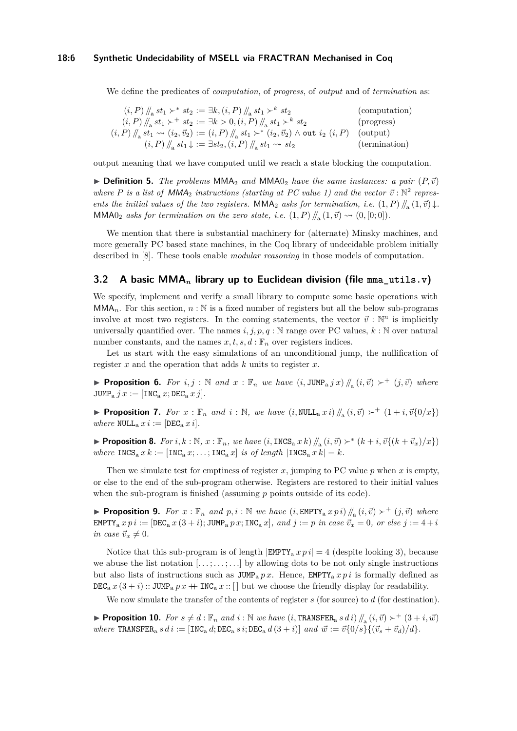#### **18:6 Synthetic Undecidability of MSELL via FRACTRAN Mechanised in Coq**

We define the predicates of *computation*, of *progress*, of *output* and of *termination* as:

$$
(i, P) \parallel_{\mathbf{a}} st_1 \succ^* st_2 := \exists k, (i, P) \parallel_{\mathbf{a}} st_1 \succ^k st_2
$$
 (computation)  
\n
$$
(i, P) \parallel_{\mathbf{a}} st_1 \succ^+ st_2 := \exists k > 0, (i, P) \parallel_{\mathbf{a}} st_1 \succ^k st_2
$$
 (progress)  
\n
$$
(i, P) \parallel_{\mathbf{a}} st_1 \leadsto (i_2, \vec{v}_2) := (i, P) \parallel_{\mathbf{a}} st_1 \succ^* (i_2, \vec{v}_2) \land \text{out } i_2 (i, P)
$$
 (output)  
\n
$$
(i, P) \parallel_{\mathbf{a}} st_1 \downarrow := \exists st_2, (i, P) \parallel_{\mathbf{a}} st_1 \leadsto st_2
$$
 (termination)

output meaning that we have computed until we reach a state blocking the computation.

 $\triangleright$  **Definition 5.** *The problems* MMA<sub>2</sub> *and* MMA<sub>0<sub>2</sub> *have the same instances: a pair*  $(P, \vec{v})$ </sub> where P is a list of  $MMA_2$  instructions (starting at PC value 1) and the vector  $\vec{v}$ :  $\mathbb{N}^2$  repres*ents the initial values of the two registers.* MMA<sub>2</sub> *asks for termination, i.e.*  $(1, P)$  //<sub>a</sub> $(1, \vec{v})$   $\downarrow$ *.* MMA0<sub>2</sub> asks for termination on the zero state, i.e.  $(1, P)$  //<sub>a</sub> $(1, \vec{v}) \rightsquigarrow (0, [0, 0])$ .

We mention that there is substantial machinery for (alternate) Minsky machines, and more generally PC based state machines, in the Coq library of undecidable problem initially described in [8]. These tools enable *modular reasoning* in those models of computation.

## **3.2 A basic MMA***<sup>n</sup>* **library up to Euclidean division (file [mma\\_utils.v](https://github.com/uds-psl/coq-library-undecidability/blob/FSCD-2021/theories/MinskyMachines/MMA/mma_utils.v))**

We specify, implement and verify a small library to compute some basic operations with  $\mathsf{MMA}_n$ . For this section,  $n : \mathbb{N}$  is a fixed number of registers but all the below sub-programs involve at most two registers. In the coming statements, the vector  $\vec{v}$ :  $\mathbb{N}^n$  is implicitly universally quantified over. The names  $i, j, p, q : \mathbb{N}$  range over PC values,  $k : \mathbb{N}$  over natural number constants, and the names  $x, t, s, d : \mathbb{F}_n$  over registers indices.

Let us start with the easy simulations of an unconditional jump, the nullification of register *x* and the operation that adds *k* units to register *x*.

▶ **Proposition 6.** For  $i, j : \mathbb{N}$  and  $x : \mathbb{F}_n$  we have  $(i, JUMP_a j x) \nparallel_a (i, \vec{v}) \succ^+ (j, \vec{v})$  where  $JUMP_a j x := [INC_a x; DEC_a x j].$ 

▶ **Proposition 7.** *For*  $x : \mathbb{F}_n$  *and*  $i : \mathbb{N}$ *, we have*  $(i, \text{NULL}_a x i) \, \text{//}_a(i, \vec{v}) \succ^+ (1 + i, \vec{v} \{0/x\})$ *where*  $NULL_a x i := [DEC_a x i].$ 

▶ **Proposition 8.** For  $i, k : \mathbb{N}, x : \mathbb{F}_n$ , we have  $(i, \text{INCS}_a x k) / \mathbb{N}_a (i, \vec{v}) \succ^* (k + i, \vec{v} \{ (k + \vec{v}_x)/x \})$ *where*  $\text{INCS}_a x k := [\text{INCS}_a x; \dots; \text{INC}^a x]$  *is of length*  $|\text{INCS}_a x k| = k$ *.* 

Then we simulate test for emptiness of register  $x$ , jumping to PC value  $p$  when  $x$  is empty, or else to the end of the sub-program otherwise. Registers are restored to their initial values when the sub-program is finished (assuming *p* points outside of its code).

▶ **Proposition 9.** *For*  $x : \mathbb{F}_n$  *and*  $p, i : \mathbb{N}$  *we have*  $(i, \text{EMPTY}_a x p i) / \mathbb{N}_a$   $(i, \vec{v}) \succ^+ (j, \vec{v})$  *where*  $EMPTY_a x p i := [DEC_a x (3 + i); JUMP_a p x; INC_a x], and j := p in case  $\vec{v}_x = 0$ , or else j := 4 + i$ *in case*  $\vec{v}_x \neq 0$ *.* 

Notice that this sub-program is of length  $|EMPTY_a x p i| = 4$  (despite looking 3), because we abuse the list notation [*. . .* ; *. . .* ; *. . .*] by allowing dots to be not only single instructions but also lists of instructions such as  $JUMP_a px$ . Hence,  $EMPTY_a xp i$  is formally defined as  $DEC_a x (3 + i)$ :: JUMP<sub>a</sub>  $px + \text{INC}_a x$ :: [] but we choose the friendly display for readability.

We now simulate the transfer of the contents of register *s* (for source) to *d* (for destination).

▶ **Proposition 10.** *For*  $s \neq d$  :  $\mathbb{F}_n$  *and*  $i$  :  $\mathbb{N}$  *we have*  $(i, \text{TRANSFER}_a s \, d \, i) / \mathbb{F}_a(i, \vec{v}) \succ^+ (3 + i, \vec{w})$ *where*  $\text{TRANSFER}_a s d i := \left[ \text{INC}_a d; \text{DEC}_a s i; \text{DEC}_a d (3 + i) \right]$  and  $\vec{w} := \vec{v} \{0/s\} \{(\vec{v}_s + \vec{v}_d)/d\}$ .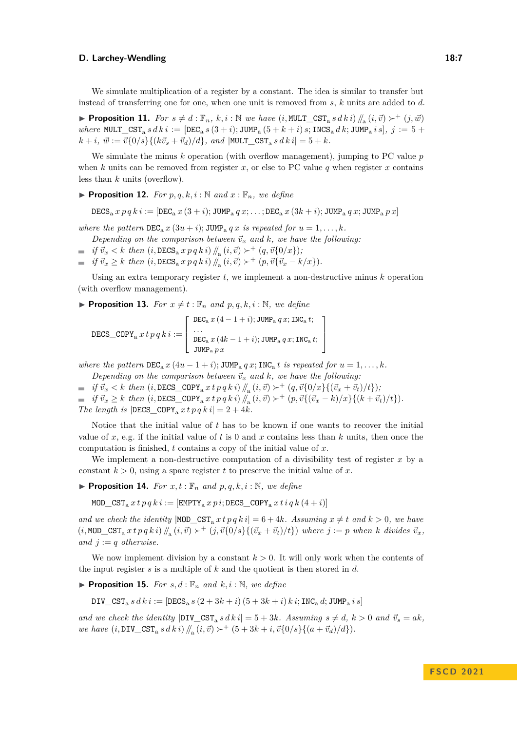We simulate multiplication of a register by a constant. The idea is similar to transfer but instead of transferring one for one, when one unit is removed from *s*, *k* units are added to *d*.

▶ **Proposition 11.** *For*  $s \neq d$ :  $\mathbb{F}_n$ ,  $k, i$ :  $\mathbb{N}$  *we have* (*i*, MULT\_CST<sub>a</sub>  $s$   $d k i$ )  $\mathbb{N}_a$  (*i*,  $\vec{v}$ )  $\succ^+$  (*j*,  $\vec{w}$ )  $where$  MULT\_CST<sub>a</sub>  $s \, d \, k \, i := \left[ \text{DEC}_a \, s \, (3+i) \right]$ ; JUMP<sub>a</sub>  $(5+k+i) \, s$ ; INCS<sub>a</sub>  $d \, k$ ; JUMP<sub>a</sub>  $i \, s$ ,  $j := 5 + i$  $k + i$ ,  $\vec{w} := \vec{v} \{0/s\} \{ (k \vec{v}_s + \vec{v}_d)/d \}$ , and  $|\text{MULT\_CST}_a s \, dk \, i| = 5 + k$ .

We simulate the minus *k* operation (with overflow management), jumping to PC value *p* when  $k$  units can be removed from register  $x$ , or else to PC value  $q$  when register  $x$  contains less than *k* units (overflow).

**• Proposition 12.** For  $p, q, k, i : \mathbb{N}$  and  $x : \mathbb{F}_n$ , we define

 $\text{DECS}_a$  *x*  $p q k i := \left[ \text{DEC}_a x (3+i); \text{JUMP}_a q x; \dots; \text{DEC}_a x (3k+i); \text{JUMP}_a q x; \text{JUMP}_a p x \right]$ 

*where the pattern*  $DEC_a x (3u + i); JUMP_a q x$  *is repeated for*  $u = 1, \ldots, k$ *.* 

*Depending on the comparison between*  $\vec{v}_x$  *and*  $k$ *, we have the following:* 

- $if \vec{v}_x < k \text{ then } (i, \text{DECS}_a \, x \, p \, q \, k \, i) \, / \! / \! \sqrt{a} \, (i, \vec{v}) \succ^+ (q, \vec{v} \{0/x\})$ ;
- $if \vec{v}_x \geq k \text{ then } (i, \text{DECS}_a \, x \, p \, q \, k \, i) / \int_a^b (i, \vec{v}) \succ^+ (p, \vec{v} \{ \vec{v}_x k/x \}).$

Using an extra temporary register *t*, we implement a non-destructive minus *k* operation (with overflow management).

**• Proposition 13.** For  $x \neq t : \mathbb{F}_n$  and  $p, q, k, i : \mathbb{N}$ , we define

$$
\text{DECS\_COPY}_\text{a} \, x \, t \, p \, q \, k \, i := \left[ \begin{array}{l} \text{DEC}_\text{a} \, x \, (4-1+i); \text{JUMP}_\text{a} \, q \, x; \text{INC}_\text{a} \, t; \\ \cdots \\ \text{DEC}_\text{a} \, x \, (4k-1+i); \text{JUMP}_\text{a} \, q \, x; \text{INC}_\text{a} \, t; \\ \text{JUMP}_\text{a} \, p \, x \end{array} \right]
$$

*where the pattern*  $DEC_a x (4u - 1 + i)$ ;  $JUMP_a q x$ ;  $INC_a t$  *is repeated for*  $u = 1, \ldots, k$ *.* 

*Depending on the comparison between*  $\vec{v}_x$  *and*  $k$ *, we have the following:* 

 $if \vec{v}_x < k \text{ then } (i, \texttt{DECS\_COPY}_a \text{ } x \text{ } t \text{ } p \text{ } q \text{ } k \text{ } i) \text{ } /\text{}/_{a} (i, \vec{v}) \succ^+ (q, \vec{v} \{0/x\} \{(\vec{v}_x + \vec{v}_t)/t\}) \text{;}$  $\textit{if } \vec{v}_x \geq k \textit{ then } (i, \texttt{DECS\_COPY}_\texttt{a} \textit{xt} p q k i) \, \textcolor{red}{\parallel_A} \, (i, \vec{v}) \succ^+ (p, \vec{v} \{(\vec{v}_x - k)/x\} \{ (k + \vec{v}_t)/t \}).$ *The length is*  $|DECS_COPY_a \, x \, t \, p \, q \, k \, i| = 2 + 4k$ .

Notice that the initial value of *t* has to be known if one wants to recover the initial value of *x*, e.g. if the initial value of *t* is 0 and *x* contains less than *k* units, then once the computation is finished, *t* contains a copy of the initial value of *x*.

We implement a non-destructive computation of a divisibility test of register *x* by a constant  $k > 0$ , using a spare register t to preserve the initial value of x.

**• Proposition 14.** For  $x, t : \mathbb{F}_n$  and  $p, q, k, i : \mathbb{N}$ , we define

MOD  $CST_a$   $x t p q k i :=$  [EMPTY<sub>a</sub>  $x p i$ ; DECS  $COPY_a$   $x t i q k (4 + i)$ ]

*and we check the identity*  $|MOD_CST_a x t p q k i| = 6 + 4k$ *. Assuming*  $x \neq t$  *and*  $k > 0$ *, we have*  $(i, \text{MOD\_CST}_a x t p q k i) \, ||_a (i, \vec{v}) \succ^+ (j, \vec{v} \{0/s\} \{(\vec{v}_x + \vec{v}_t)/t\})$  where  $j := p$  when k divides  $\vec{v}_x$ , *and*  $j := q$  *otherwise.* 

We now implement division by a constant  $k > 0$ . It will only work when the contents of the input register *s* is a multiple of *k* and the quotient is then stored in *d*.

**• Proposition 15.** For  $s, d : \mathbb{F}_n$  and  $k, i : \mathbb{N}$ , we define

 $DIV_CST_a s \, d \, k \, i := [DECS_a s (2 + 3k + i) (5 + 3k + i) k \, i; \, INC_a d; \, JUMP_a i s]$ 

*and we check the identity*  $|DIV_CST_a s \, d \, k \, i| = 5 + 3k$ *. Assuming*  $s \neq d$ ,  $k > 0$  *and*  $\vec{v}_s = ak$ *, we have*  $(i, \text{DIV\_CST}_a \ s \ d \ k \ i) \ N_a \ (i, \vec{v}) \succ^+ (5 + 3k + i, \vec{v} \{0/s\} \{(a + \vec{v}_d)/d\}).$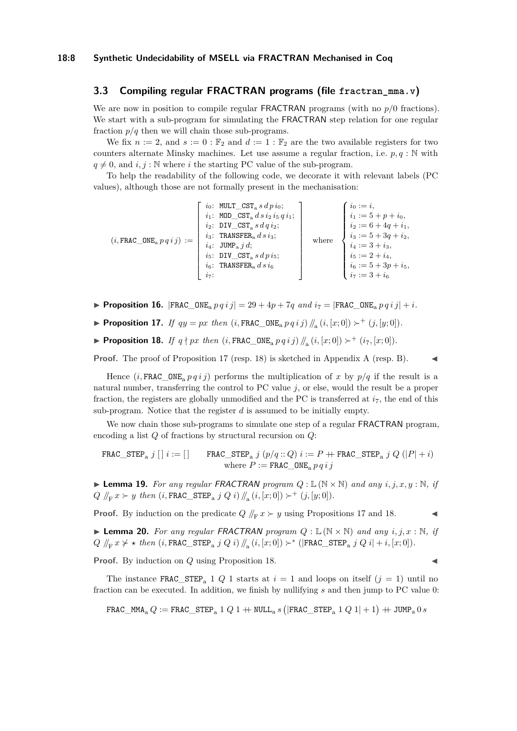## **3.3 Compiling regular FRACTRAN programs (file [fractran\\_mma.v](https://github.com/uds-psl/coq-library-undecidability/blob/FSCD-2021/theories/MinskyMachines/MMA/fractran_mma.v))**

We are now in position to compile regular FRACTRAN programs (with no *p/*0 fractions). We start with a sub-program for simulating the FRACTRAN step relation for one regular fraction  $p/q$  then we will chain those sub-programs.

We fix  $n := 2$ , and  $s := 0 : \mathbb{F}_2$  and  $d := 1 : \mathbb{F}_2$  are the two available registers for two counters alternate Minsky machines. Let use assume a regular fraction, i.e.  $p, q : \mathbb{N}$  with  $q \neq 0$ , and  $i, j : \mathbb{N}$  where *i* the starting PC value of the sub-program.

To help the readability of the following code, we decorate it with relevant labels (PC values), although those are not formally present in the mechanisation:

| <i>i</i> <sub>5</sub> : DIV_CST <sub>a</sub> s $d \, p \, i_5$ ;<br>$i_6$ : TRANSFER <sub>a</sub> $d s i_6$<br>$i_{7}$ : | $(i, \texttt{FRAC\_ONE}_{a} p q i j) :=$ | <i>i</i> <sub>0</sub> : MULT_CST <sub>a</sub> $s dp i$ <sub>0</sub> ;<br>$i_1$ : MOD_CST <sub>a</sub> $d s i_2 i_5 q i_1$ ;<br>$i_2$ : DIV_CST <sub>a</sub> s $d q i_2$ ;<br>$i_3$ : TRANSFER <sub>a</sub> $d s i_3$ ;<br>$i_4$ : JUMP <sub>a</sub> $i d$ ; | where | $\left\{ \begin{array}{ll} i_0:=i,\\ i_1:=5+p+i_0,\\ i_2:=6+4q+i_1,\\ i_3:=5+3q+i_2,\\ i_4:=3+i_3,\\ i_5:=2+i_4,\\ i_6:=5+3p+i_5,\\ i_7:=3+i_6 \end{array} \right.$ |
|--------------------------------------------------------------------------------------------------------------------------|------------------------------------------|-------------------------------------------------------------------------------------------------------------------------------------------------------------------------------------------------------------------------------------------------------------|-------|---------------------------------------------------------------------------------------------------------------------------------------------------------------------|
|--------------------------------------------------------------------------------------------------------------------------|------------------------------------------|-------------------------------------------------------------------------------------------------------------------------------------------------------------------------------------------------------------------------------------------------------------|-------|---------------------------------------------------------------------------------------------------------------------------------------------------------------------|

- **Proposition 16.**  $|\text{FRAC\_ONE}_{a} p q i j| = 29 + 4p + 7q$  and  $i_7 = |\text{FRAC\_ONE}_{a} p q i j| + i$ .
- ▶ **Proposition 17.** *If*  $qy = px$  *then* (*i*, FRAC\_ONE<sub>a</sub>  $p q i j$ ) //<sub>a</sub> (*i*, [*x*; 0]) ≻<sup>+</sup> (*j*, [*y*; 0]).
- ▶ **Proposition 18.** *If*  $q \nmid px$  *then*  $(i, \text{FRAC}\_\text{ONEa} p q i j) / / |a(i, [x; 0]) \succ^+ (i_7, [x; 0])$ *.*

**Proof.** The proof of Proposition 17 (resp. 18) is sketched in Appendix A (resp. B).

Hence  $(i, \text{FRAC}$  ONE<sub>a</sub>  $p q i j$  performs the multiplication of *x* by  $p/q$  if the result is a natural number, transferring the control to PC value *j*, or else, would the result be a proper fraction, the registers are globally unmodified and the PC is transferred at  $i<sub>7</sub>$ , the end of this sub-program. Notice that the register *d* is assumed to be initially empty.

We now chain those sub-programs to simulate one step of a regular **FRACTRAN** program, encoding a list *Q* of fractions by structural recursion on *Q*:

$$
\begin{array}{ll} \texttt{FRAC\_STEP}_a \; j \; [\;] \; i := [\;] & \texttt{FRAC\_STEP}_a \; j \; (p/q::Q) \; i := P \; \texttt{+ FRAC\_STEP}_a \; j \; Q \; (|P|+i) \\ & \texttt{where} \; P := \texttt{FRAC\_ONE}_a \, p \, q \, i \, j \end{array}
$$

 $\blacktriangleright$  **Lemma 19.** For any regular FRACTRAN program  $Q : \mathbb{L}(\mathbb{N} \times \mathbb{N})$  and any  $i, j, x, y : \mathbb{N}$ , if  $Q \, / \! / \! _F x \succ y \, then \, (i, \texttt{FRAC\_STEP}_a \, j \, Q \, i) / \! / \! _a \, (i, [x; 0]) \succ^+ (j, [y; 0]).$ 

**Proof.** By induction on the predicate  $Q / f_F x \succ y$  using Propositions 17 and 18.

 $\triangleright$  **Lemma 20.** For any regular FRACTRAN program  $Q : \mathbb{L}(\mathbb{N} \times \mathbb{N})$  and any  $i, j, x : \mathbb{N}$ , if *Q*  $/ \n{F}$ *x*  $>$  *★ then* (*i*,FRAC\_STEP<sub>a</sub> *j Q i*)  $/ \n{F}$ <sub>a</sub> (*i*, [*x*; 0])  $>$  \* (|FRAC\_STEP<sub>a</sub> *j Q i*| + *i*, [*x*; 0]).

**Proof.** By induction on *Q* using Proposition 18.

The instance FRAC\_STEP<sub>a</sub> 1 *Q* 1 starts at  $i = 1$  and loops on itself  $(j = 1)$  until no fraction can be executed. In addition, we finish by nullifying *s* and then jump to PC value 0:

$$
\mathtt{FRAC\_MM_A}\,Q := \mathtt{FRAC\_STEP}_\mathrm{a} \,1\;Q\;1 + \mathtt{NULL}_\mathrm{a}\,s\,\big(|\mathtt{FRAC\_STEP}_\mathrm{a} \,1\;Q\;1| + 1\big) + \mathtt{JUMP}_\mathrm{a}\,0\,s
$$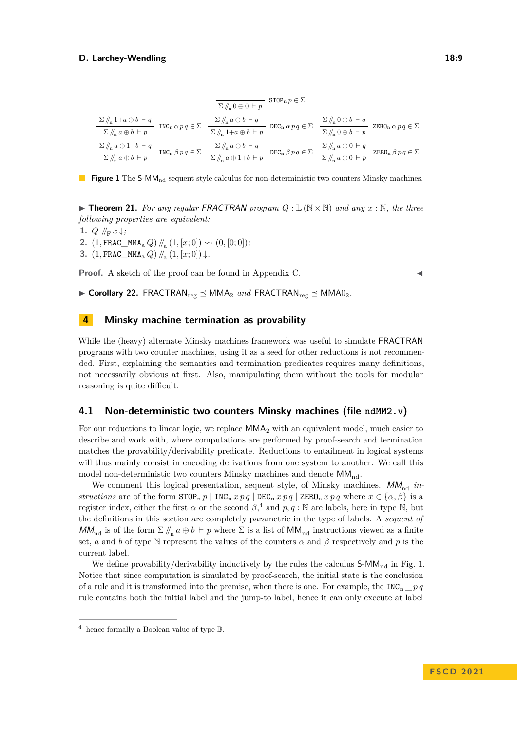$$
\cfrac{\sum \mathcal{N}_n 1 + a \oplus b \vdash q}{\sum \mathcal{N}_n a \oplus b \vdash p} \quad \text{INC}_n \alpha pq \in \Sigma \quad \cfrac{\sum \mathcal{N}_n a \oplus b \vdash q}{\sum \mathcal{N}_n 1 + a \oplus b \vdash p} \quad \text{DEC}_n \alpha pq \in \Sigma \quad \cfrac{\sum \mathcal{N}_n 0 \oplus b \vdash q}{\sum \mathcal{N}_n 0 \oplus b \vdash p} \quad \text{ZERO}_n \alpha pq \in \Sigma
$$
\n
$$
\cfrac{\sum \mathcal{N}_n a \oplus b \vdash p}{\sum \mathcal{N}_n a \oplus b \vdash p} \quad \text{INC}_n \beta pq \in \Sigma \quad \cfrac{\sum \mathcal{N}_n a \oplus b \vdash q}{\sum \mathcal{N}_n a \oplus b \vdash p} \quad \text{DEC}_n \beta pq \in \Sigma \quad \cfrac{\sum \mathcal{N}_n a \oplus 0 \vdash q}{\sum \mathcal{N}_n a \oplus 0 \vdash p} \quad \text{ZERO}_n \beta pq \in \Sigma
$$



 $\blacktriangleright$  **Theorem 21.** For any regular FRACTRAN program  $Q: \mathbb{L}(\mathbb{N} \times \mathbb{N})$  and any  $x: \mathbb{N}$ , the three *following properties are equivalent:*

- **1.**  $Q \nparallel_{\mathbf{F}} x \downarrow$ ;
- 2.  $(1, \text{FRAC\_MMA}_{a} \ Q) \ N_{a} \ (1, [x; 0]) \rightsquigarrow (0, [0; 0])$
- **3.**  $(1, \text{FRAC\_MMA}_a Q) / / (1, [x; 0]) \downarrow$ .

**Proof.** A sketch of the proof can be found in Appendix C.

 $\triangleright$  **Corollary 22.** FRACTRAN<sub>reg</sub>  $\preceq$  MMA<sub>2</sub> *and* FRACTRAN<sub>reg</sub>  $\preceq$  MMA<sub>02</sub>.

## **4 Minsky machine termination as provability**

While the (heavy) alternate Minsky machines framework was useful to simulate FRACTRAN programs with two counter machines, using it as a seed for other reductions is not recommended. First, explaining the semantics and termination predicates requires many definitions, not necessarily obvious at first. Also, manipulating them without the tools for modular reasoning is quite difficult.

### **4.1 Non-deterministic two counters Minsky machines (file [ndMM2.v](https://github.com/uds-psl/coq-library-undecidability/blob/FSCD-2021/theories/MinskyMachines/ndMM2.v))**

For our reductions to linear logic, we replace MMA<sup>2</sup> with an equivalent model, much easier to describe and work with, where computations are performed by proof-search and termination matches the provability/derivability predicate. Reductions to entailment in logical systems will thus mainly consist in encoding derivations from one system to another. We call this model non-deterministic two counters Minsky machines and denote  $MM_{nd}$ .

We comment this logical presentation, sequent style, of Minsky machines.  $MM_{\text{nd}}$  *instructions* are of the form  $\text{STOP}_p p \mid \text{INC}_p x p q \mid \text{DEC}_p x p q \mid \text{ZERO}_p x p q$  where  $x \in \{\alpha, \beta\}$  is a register index, either the first  $\alpha$  or the second  $\beta$ ,<sup>4</sup> and  $p, q : \mathbb{N}$  are labels, here in type  $\mathbb{N}$ , but the definitions in this section are completely parametric in the type of labels. A *sequent of*  $MM_{\text{nd}}$  is of the form  $\Sigma / \mathcal{L}_n a \oplus b \vdash p$  where  $\Sigma$  is a list of  $MM_{\text{nd}}$  instructions viewed as a finite set, *a* and *b* of type N represent the values of the counters  $\alpha$  and  $\beta$  respectively and *p* is the current label.

We define provability/derivability inductively by the rules the calculus  $\mathsf{S\text{-}MM}_{\text{nd}}$  in Fig. 1. Notice that since computation is simulated by proof-search, the initial state is the conclusion of a rule and it is transformed into the premise, when there is one. For example, the INC<sub>n</sub>  $p \, q$ rule contains both the initial label and the jump-to label, hence it can only execute at label

<sup>4</sup> hence formally a Boolean value of type B.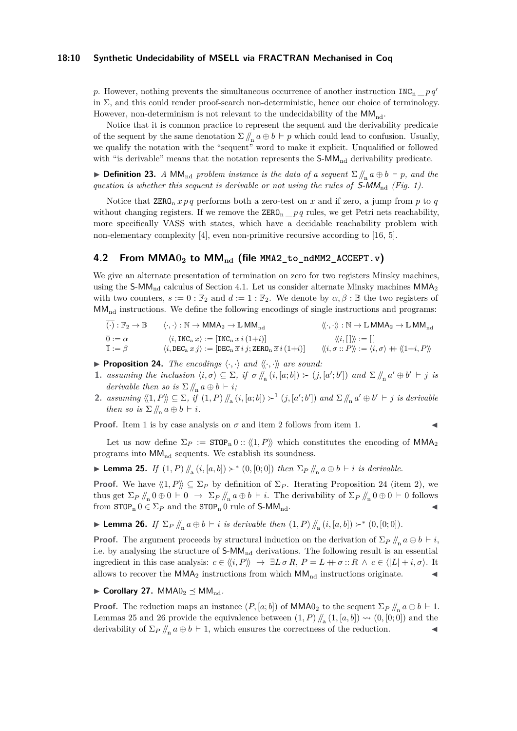#### **18:10 Synthetic Undecidability of MSELL via FRACTRAN Mechanised in Coq**

*p*. However, nothing prevents the simultaneous occurrence of another instruction INC<sub>n</sub>  $p q'$ in  $\Sigma$ , and this could render proof-search non-deterministic, hence our choice of terminology. However, non-determinism is not relevant to the undecidability of the  $MM_{nd}$ .

Notice that it is common practice to represent the sequent and the derivability predicate of the sequent by the same denotation  $\Sigma / \nvert_n a \oplus b \vdash p$  which could lead to confusion. Usually, we qualify the notation with the "sequent" word to make it explicit. Unqualified or followed with "is derivable" means that the notation represents the  $S-MM_{nd}$  derivability predicate.

▶ **Definition 23.** *A* MM<sub>nd</sub> *problem instance is the data of a sequent*  $\Sigma / \ln a \oplus b \vdash p$ *, and the* question is whether this sequent is derivable or not using the rules of  $S-MM_{\text{nd}}$  (Fig. 1).

Notice that  $\text{ZERO}_n x p q$  performs both a zero-test on x and if zero, a jump from p to q without changing registers. If we remove the  $\text{ZERO}_n \_\text{p} q$  rules, we get Petri nets reachability, more specifically VASS with states, which have a decidable reachability problem with non-elementary complexity [4], even non-primitive recursive according to [16, 5].

## **4.2 From MMA0<sup>2</sup> to MMnd (file [MMA2\\_to\\_ndMM2\\_ACCEPT.v](https://github.com/uds-psl/coq-library-undecidability/blob/FSCD-2021/theories/MinskyMachines/Reductions/MMA2_to_ndMM2_ACCEPT.v))**

We give an alternate presentation of termination on zero for two registers Minsky machines, using the S-MM<sub>nd</sub> calculus of Section 4.1. Let us consider alternate Minsky machines  $MMA<sub>2</sub>$ with two counters,  $s := 0 : \mathbb{F}_2$  and  $d := 1 : \mathbb{F}_2$ . We denote by  $\alpha, \beta : \mathbb{B}$  the two registers of  $MM<sub>nd</sub>$  instructions. We define the following encodings of single instructions and programs:

| $(\cdot): \mathbb{F}_2 \to \mathbb{B}$ | $\langle \cdot, \cdot \rangle : \mathbb{N} \to \mathsf{MMA}_2 \to \mathbb{L} \mathsf{MM}_{\mathrm{nd}}$            | $\langle\!\langle \cdot, \cdot \rangle\rangle : \mathbb{N} \to \mathbb{L}$ MMA <sub>2</sub> $\to \mathbb{L}$ MM <sub>nd</sub> |
|----------------------------------------|--------------------------------------------------------------------------------------------------------------------|-------------------------------------------------------------------------------------------------------------------------------|
| $\overline{0} := \alpha$               | $\langle i, \texttt{INC}_a x \rangle := [\texttt{INC}_n \ \overline{x} \ i \ (1+i)]$                               | $\langle\langle i, [\ ]\rangle\rangle := [\ ]$                                                                                |
| $\overline{1} := \beta$                | $\langle i, \texttt{DEC}_a x j \rangle := [\texttt{DEC}_n \overline{x} i j; \texttt{ZERO}_n \overline{x} i (1+i)]$ | $\langle \langle i, \sigma : : P \rangle \rangle := \langle i, \sigma \rangle + \langle \langle 1+i, P \rangle \rangle$       |

- **Proposition 24.** *The encodings*  $\langle \cdot, \cdot \rangle$  *and*  $\langle \langle \cdot, \cdot \rangle \rangle$  *are sound:*
- **1.** *assuming the inclusion*  $\langle i, \sigma \rangle \subseteq \Sigma$ , *if*  $\sigma / \mathcal{A}_{\mathbf{a}}(i,[a;b]) \succ (j,[a';b'])$  *and*  $\Sigma / \mathcal{A}_{\mathbf{a}}(a \oplus b' \vdash j \text{ is }$ *derivable then so is*  $\sum \N_{n} a \oplus b \vdash i$ ;
- 2. assuming  $\langle 1, P \rangle \subseteq \Sigma$ , if  $(1, P) / \mathcal{L}_a(i, [a; b]) \succ^1 (j, [a'; b'])$  and  $\Sigma / \mathcal{L}_a a' \oplus b' \vdash j$  is derivable *then so is*  $\Sigma / /_{n} a \oplus b \vdash i$ *.*

**Proof.** Item 1 is by case analysis on  $\sigma$  and item 2 follows from item 1.

Let us now define  $\Sigma_P := \text{STOP}_n 0 : \langle \langle 1, P \rangle \rangle$  which constitutes the encoding of MMA<sub>2</sub> programs into  $MM_{nd}$  sequents. We establish its soundness.

▶ **Lemma 25.** *If*  $(1, P)$  //<sub>a</sub>  $(i, [a, b])$   $\succ$  \*  $(0, [0, 0])$  *then*  $\Sigma_P$  //<sub>n</sub>  $a \oplus b \vdash i$  *is derivable.* 

**Proof.** We have  $\langle \langle 1, P \rangle \rangle \subseteq \Sigma_P$  by definition of  $\Sigma_P$ . Iterating Proposition 24 (item 2), we thus get  $\Sigma_P / \! /_n 0 \oplus 0 \vdash 0 \rightarrow \Sigma_P / \! /_n a \oplus b \vdash i$ . The derivability of  $\Sigma_P / \! /_n 0 \oplus 0 \vdash 0$  follows from  $\text{STOP}_n 0 \in \Sigma_P$  and the  $\text{STOP}_n 0$  rule of  $\text{S-MM}_{nd}$ .

▶ **Lemma 26.** *If*  $\Sigma_P \, / \! / \! \! _n a \oplus b \vdash i$  *is derivable then*  $(1, P) / \! / \! \! _n (i, [a, b]) \succ^* (0, [0; 0]).$ 

**Proof.** The argument proceeds by structural induction on the derivation of  $\Sigma_P / / \mathbb{R}$  *a* ⊕ *b*  $\vdash i$ , i.e. by analysing the structure of  $\mathsf{S}\text{-}\mathsf{MM}_{\mathrm{nd}}$  derivations. The following result is an essential ingredient in this case analysis:  $c \in \langle \langle i, P \rangle \rangle \rightarrow \exists L \sigma R, P = L + \sigma :: R \land c \in \langle |L| + i, \sigma \rangle$ . It allows to recover the MMA<sub>2</sub> instructions from which  $MM_{nd}$  instructions originate.

 $\blacktriangleright$  **Corollary 27.** MMA $0_2 \preceq$  MM<sub>nd</sub>.

**Proof.** The reduction maps an instance  $(P, [a; b])$  of MMA0<sub>2</sub> to the sequent  $\Sigma_P / \mathcal{L}_n a \oplus b \vdash 1$ . Lemmas 25 and 26 provide the equivalence between  $(1, P)$  //<sub>a</sub> $(1, [a, b]) \rightarrow (0, [0, 0])$  and the derivability of Σ*<sup>P</sup> //*<sup>n</sup> *a* ⊕ *b* ⊢ 1, which ensures the correctness of the reduction. ◀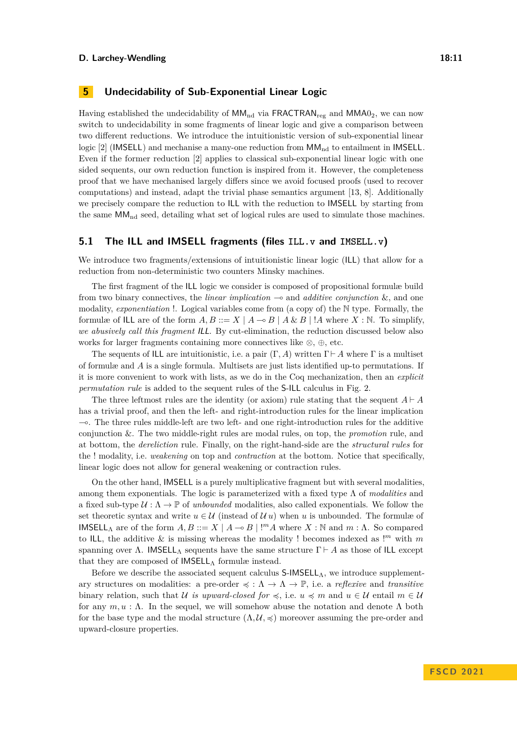## **5 Undecidability of Sub-Exponential Linear Logic**

Having established the undecidability of  $MM_{nd}$  via FRACTRAN<sub>reg</sub> and  $MMA0<sub>2</sub>$ , we can now switch to undecidability in some fragments of linear logic and give a comparison between two different reductions. We introduce the intuitionistic version of sub-exponential linear logic  $[2]$  (IMSELL) and mechanise a many-one reduction from  $MM_{nd}$  to entailment in IMSELL. Even if the former reduction [2] applies to classical sub-exponential linear logic with one sided sequents, our own reduction function is inspired from it. However, the completeness proof that we have mechanised largely differs since we avoid focused proofs (used to recover computations) and instead, adapt the trivial phase semantics argument [13, 8]. Additionally we precisely compare the reduction to ILL with the reduction to IMSELL by starting from the same  $MM_{nd}$  seed, detailing what set of logical rules are used to simulate those machines.

## **5.1 The ILL and IMSELL fragments (files [ILL.v](https://github.com/uds-psl/coq-library-undecidability/blob/FSCD-2021/theories/ILL/ILL.v) and [IMSELL.v](https://github.com/uds-psl/coq-library-undecidability/blob/FSCD-2021/theories/ILL/IMSELL.v))**

We introduce two fragments/extensions of intuitionistic linear logic (ILL) that allow for a reduction from non-deterministic two counters Minsky machines.

The first fragment of the ILL logic we consider is composed of propositional formulæ build from two binary connectives, the *linear implication* ⊸ and *additive conjunction* &, and one modality, *exponentiation* !. Logical variables come from (a copy of) the N type. Formally, the formulæ of ILL are of the form  $A, B ::= X \mid A \rightarrow B \mid A \& B \mid A$  where  $X : \mathbb{N}$ . To simplify, *we abusively call this fragment* ILL. By cut-elimination, the reduction discussed below also works for larger fragments containing more connectives like ⊗, ⊕, etc.

The sequents of ILL are intuitionistic, i.e. a pair  $(\Gamma, A)$  written  $\Gamma \vdash A$  where  $\Gamma$  is a multiset of formulæ and *A* is a single formula. Multisets are just lists identified up-to permutations. If it is more convenient to work with lists, as we do in the Coq mechanization, then an *explicit permutation rule* is added to the sequent rules of the S-ILL calculus in Fig. 2.

The three leftmost rules are the identity (or axiom) rule stating that the sequent  $A \vdash A$ has a trivial proof, and then the left- and right-introduction rules for the linear implication ⊸. The three rules middle-left are two left- and one right-introduction rules for the additive conjunction &. The two middle-right rules are modal rules, on top, the *promotion* rule, and at bottom, the *dereliction* rule. Finally, on the right-hand-side are the *structural rules* for the ! modality, i.e. *weakening* on top and *contraction* at the bottom. Notice that specifically, linear logic does not allow for general weakening or contraction rules.

On the other hand, IMSELL is a purely multiplicative fragment but with several modalities, among them exponentials. The logic is parameterized with a fixed type Λ of *modalities* and a fixed sub-type  $\mathcal{U} : \Lambda \to \mathbb{P}$  of *unbounded* modalities, also called exponentials. We follow the set theoretic syntax and write  $u \in \mathcal{U}$  (instead of  $\mathcal{U} u$ ) when *u* is unbounded. The formulæ of IMSELL<sub>Λ</sub> are of the form  $A, B ::= X | A → B | !<sup>m</sup>A$  where  $X : ℕ$  and  $m : Λ$ . So compared to ILL, the additive  $\&$  is missing whereas the modality ! becomes indexed as  $\cdot$ <sup>*m*</sup> with *m* spanning over  $\Lambda$ . IMSELL<sub>A</sub> sequents have the same structure  $\Gamma \vdash A$  as those of ILL except that they are composed of  $IMSEL<sub>A</sub>$  formulæ instead.

Before we describe the associated sequent calculus  $S$ -IMSELL<sub>Λ</sub>, we introduce supplementary structures on modalities: a pre-order  $\preccurlyeq : \Lambda \to \Lambda \to \mathbb{P}$ , i.e. a *reflexive* and *transitive* binary relation, such that U *is upward-closed for*  $\leq$ , i.e.  $u \leq m$  and  $u \in U$  entail  $m \in U$ for any  $m, u : \Lambda$ . In the sequel, we will somehow abuse the notation and denote  $\Lambda$  both for the base type and the modal structure  $(\Lambda, \mathcal{U}, \preccurlyeq)$  moreover assuming the pre-order and upward-closure properties.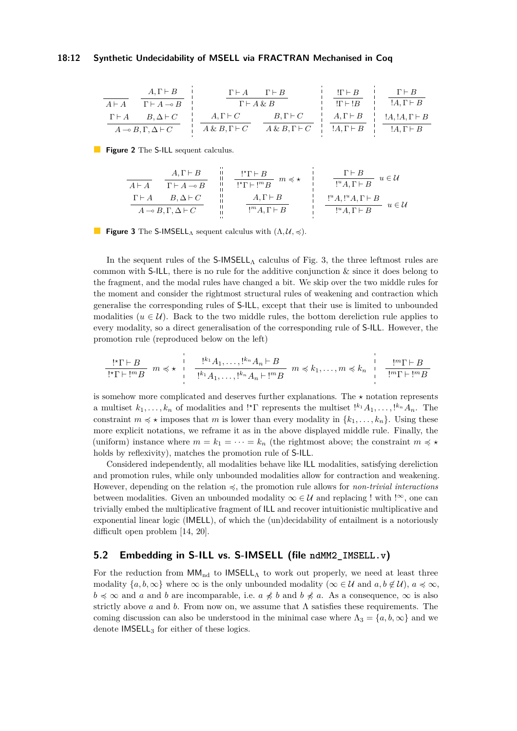#### **18:12 Synthetic Undecidability of MSELL via FRACTRAN Mechanised in Coq**

| $A \vdash A$                               | $A \vdash B$              | $\Gamma \vdash A \otimes B$ | $\Gamma \vdash A \otimes B$ | $\Gamma \vdash B$    | $\Gamma \vdash B$    |
|--------------------------------------------|---------------------------|-----------------------------|-----------------------------|----------------------|----------------------|
| $\Gamma \vdash A$                          | $B, \Delta \vdash C$      | $A, \Gamma \vdash C$        | $B, \Gamma \vdash C$        | $A, \Gamma \vdash B$ | $A, \Gamma \vdash B$ |
| $A \rightarrow B, \Gamma, \Delta \vdash C$ | $A \& B, \Gamma \vdash C$ | $A \& B, \Gamma \vdash C$   | $A, \Gamma \vdash B$        | $A, \Gamma \vdash B$ | $A, \Gamma \vdash B$ |

**Figure 2** The S-ILL sequent calculus.

| $A \vdash A$ | $A, \Gamma \vdash B$            | ii  | $!\cdot \Gamma \vdash B$      | $m \leq x$ | $\Gamma \vdash B$        | $u \in U$                |                          |                          |                          |                          |                          |                          |                          |                          |                          |                          |                          |                          |                          |                          |                          |                          |                          |                          |                          |                          |                          |                          |                          |                          |                          |                          |                          |                          |                          |                          |
|--------------|---------------------------------|-----|-------------------------------|------------|--------------------------|--------------------------|--------------------------|--------------------------|--------------------------|--------------------------|--------------------------|--------------------------|--------------------------|--------------------------|--------------------------|--------------------------|--------------------------|--------------------------|--------------------------|--------------------------|--------------------------|--------------------------|--------------------------|--------------------------|--------------------------|--------------------------|--------------------------|--------------------------|--------------------------|--------------------------|--------------------------|--------------------------|--------------------------|--------------------------|--------------------------|--------------------------|
| $A \vdash A$ | $\Gamma \vdash A \rightarrow B$ | iii | $!\cdot \Gamma \vdash !^{m}B$ | $m \leq x$ | $!\cdot \Gamma \vdash B$ | $!\cdot \Gamma \vdash B$ | $!\cdot \Gamma \vdash B$ | $!\cdot \Gamma \vdash B$ | $!\cdot \Gamma \vdash B$ | $!\cdot \Gamma \vdash B$ | $!\cdot \Gamma \vdash B$ | $!\cdot \Gamma \vdash B$ | $!\cdot \Gamma \vdash B$ | $!\cdot \Gamma \vdash B$ | $!\cdot \Gamma \vdash B$ | $!\cdot \Gamma \vdash B$ | $!\cdot \Gamma \vdash B$ | $!\cdot \Gamma \vdash B$ | $!\cdot \Gamma \vdash B$ | $!\cdot \Gamma \vdash B$ | $!\cdot \Gamma \vdash B$ | $!\cdot \Gamma \vdash B$ | $!\cdot \Gamma \vdash B$ | $!\cdot \Gamma \vdash B$ | $!\cdot \Gamma \vdash B$ | $!\cdot \Gamma \vdash B$ | $!\cdot \Gamma \vdash B$ | $!\cdot \Gamma \vdash B$ | $!\cdot \Gamma \vdash B$ | $!\cdot \Gamma \vdash B$ | $!\cdot \Gamma \vdash B$ | $!\cdot \Gamma \vdash B$ | $!\cdot \Gamma \vdash B$ | $!\cdot \Gamma \vdash B$ | $!\cdot \Gamma \vdash B$ | $!\cdot \Gamma \vdash B$ |

**Figure 3** The S-IMSELL<sub>A</sub> sequent calculus with  $(\Lambda, \mathcal{U}, \preccurlyeq)$ .

In the sequent rules of the  $S$ -IMSELL<sub>A</sub> calculus of Fig. 3, the three leftmost rules are common with  $S$ -ILL, there is no rule for the additive conjunction  $\&$  since it does belong to the fragment, and the modal rules have changed a bit. We skip over the two middle rules for the moment and consider the rightmost structural rules of weakening and contraction which generalise the corresponding rules of S-ILL, except that their use is limited to unbounded modalities ( $u \in U$ ). Back to the two middle rules, the bottom dereliction rule applies to every modality, so a direct generalisation of the corresponding rule of S-ILL. However, the promotion rule (reproduced below on the left)

$$
\frac{!^{\star}\Gamma\vdash B}{!^{\star}\Gamma\vdash !^mB} m \preccurlyeq \star \vdots \quad \frac{!^{k_1}A_1,\ldots,!^{k_n}A_n\vdash B}{!^{k_1}A_1,\ldots,!^{k_n}A_n\vdash !^mB} m \preccurlyeq k_1,\ldots,m \preccurlyeq k_n \quad \frac{!^m\Gamma\vdash B}{!^m\Gamma\vdash !^mB}
$$

is somehow more complicated and deserves further explanations. The *⋆* notation represents a multiset  $k_1, \ldots, k_n$  of modalities and !\* $\Gamma$  represents the multiset  $\cdot^{k_1} A_1, \ldots, \cdot^{k_n} A_n$ . The constraint  $m \leq \star$  imposes that *m* is lower than every modality in  $\{k_1, \ldots, k_n\}$ . Using these more explicit notations, we reframe it as in the above displayed middle rule. Finally, the (uniform) instance where  $m = k_1 = \cdots = k_n$  (the rightmost above; the constraint  $m \le \star$ holds by reflexivity), matches the promotion rule of S-ILL.

Considered independently, all modalities behave like ILL modalities, satisfying dereliction and promotion rules, while only unbounded modalities allow for contraction and weakening. However, depending on the relation ≼, the promotion rule allows for *non-trivial interactions* between modalities. Given an unbounded modality  $\infty \in \mathcal{U}$  and replacing ! with !<sup> $\infty$ </sup>, one can trivially embed the multiplicative fragment of ILL and recover intuitionistic multiplicative and exponential linear logic (IMELL), of which the (un)decidability of entailment is a notoriously difficult open problem [14, 20].

## **5.2 Embedding in S-ILL vs. S-IMSELL (file [ndMM2\\_IMSELL.v](https://github.com/uds-psl/coq-library-undecidability/blob/FSCD-2021/theories/ILL/Reductions/ndMM2_IMSELL.v))**

For the reduction from  $MM_{nd}$  to IMSELL<sub>A</sub> to work out properly, we need at least three modality  $\{a, b, \infty\}$  where  $\infty$  is the only unbounded modality ( $\infty \in \mathcal{U}$  and  $a, b \notin \mathcal{U}$ ),  $a \preccurlyeq \infty$ , *b*  $\leq$  ∞ and *a* and *b* are incomparable, i.e. *a*  $\neq$  *b* and *b*  $\neq$  *a*. As a consequence, ∞ is also strictly above *a* and *b*. From now on, we assume that Λ satisfies these requirements. The coming discussion can also be understood in the minimal case where  $\Lambda_3 = \{a, b, \infty\}$  and we denote IMSELL<sub>3</sub> for either of these logics.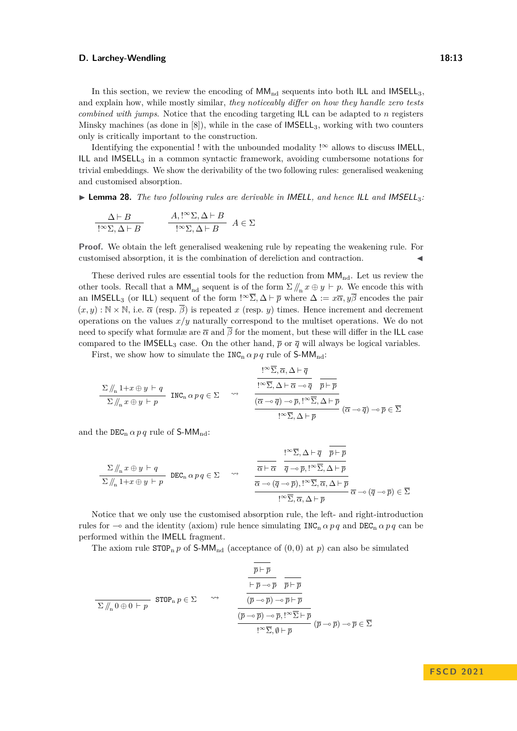In this section, we review the encoding of  $MM_{nd}$  sequents into both ILL and IMSELL<sub>3</sub>. and explain how, while mostly similar, *they noticeably differ on how they handle zero tests combined with jumps*. Notice that the encoding targeting ILL can be adapted to *n* registers Minsky machines (as done in  $[8]$ ), while in the case of  $IMSEL<sub>3</sub>$ , working with two counters only is critically important to the construction.

Identifying the exponential ! with the unbounded modality ! $\infty$  allows to discuss IMELL, ILL and IMSELL $_3$  in a common syntactic framework, avoiding cumbersome notations for trivial embeddings. We show the derivability of the two following rules: generalised weakening and customised absorption.

▶ **Lemma 28.** *The two following rules are derivable in* IMELL*, and hence* ILL *and* IMSELL3*:*

$$
\frac{\Delta \vdash B}{\cdot ! \infty \Sigma, \Delta \vdash B} \qquad \frac{A, !^{\infty} \Sigma, \Delta \vdash B}{\cdot !^{\infty} \Sigma, \Delta \vdash B} \quad A \in \Sigma
$$

**Proof.** We obtain the left generalised weakening rule by repeating the weakening rule. For customised absorption, it is the combination of dereliction and contraction.

These derived rules are essential tools for the reduction from  $MM_{nd}$ . Let us review the other tools. Recall that a  $MM_{nd}$  sequent is of the form  $\Sigma / / \sim x \oplus y \vdash p$ . We encode this with an IMSELL<sub>3</sub> (or ILL) sequent of the form  $\cdot^{\infty}$  $\overline{\Sigma}$ ,  $\Delta \vdash \overline{p}$  where  $\Delta := x\overline{\alpha}, y\overline{\beta}$  encodes the pair  $(x, y) : \mathbb{N} \times \mathbb{N}$ , i.e.  $\overline{\alpha}$  (resp.  $\overline{\beta}$ ) is repeated x (resp. y) times. Hence increment and decrement operations on the values *x*/*y* naturally correspond to the multiset operations. We do not need to specify what formulæ are  $\overline{\alpha}$  and  $\overline{\beta}$  for the moment, but these will differ in the ILL case compared to the IMSELL<sub>3</sub> case. On the other hand,  $\bar{p}$  or  $\bar{q}$  will always be logical variables.

First, we show how to simulate the  $INC_n \alpha p q$  rule of S-MM<sub>nd</sub>:

$$
\frac{\Sigma/\hspace{-3pt}/_{\hspace{-1pt}n} 1+x\oplus y \vdash q}{\Sigma/\hspace{-3pt}/_{\hspace{-1pt}n} x\oplus y \vdash p} \quad \text{INC}_n \, \alpha \, p \, q \in \Sigma \quad \leadsto \quad \frac{\overline{!^\infty \Sigma}, \overline{\alpha}, \Delta \vdash \overline{q}}{\overline{(\overline{\alpha} \multimap \overline{q}) \multimap \overline{p}, {!^\infty \overline{\Sigma}}, \Delta \vdash \overline{\alpha} \multimap \overline{q}} \quad \overline{\overline{p} \vdash \overline{p}}}{\overline{!^\infty \overline{\Sigma}, \Delta \vdash \overline{p}}}\n\overline{\alpha \multimap \overline{q}) \multimap \overline{p} \in \overline{\Sigma}}
$$

and the  $DEC_n \alpha p q$  rule of S-MM<sub>nd</sub>:

$$
\frac{\Sigma \mathop{\mathop{\not\!\!\!\! /}}_{n} x \oplus y \vdash q}{\Sigma \mathop{\mathop{\not\!\!\!\! /}}_{n} 1 + x \oplus y \vdash p} \quad \text{DEC}_{n} \alpha \, p \, q \in \Sigma \qquad \leadsto \qquad \frac{\overline{\overline{\alpha}} \vdash \overline{\alpha} \quad \overline{\overline{q} \multimap \overline{p}, !^{\infty} \overline{\Sigma}, \Delta \vdash \overline{p} \quad \ \ \, }{\overline{\overline{\alpha}} \multimap (\overline{q} \multimap \overline{p}), !^{\infty} \overline{\Sigma}, \overline{\alpha}, \Delta \vdash \overline{p} \quad \ \, }{\overline{\alpha} \multimap (\overline{q} \multimap \overline{p}), !^{\infty} \overline{\Sigma}, \overline{\alpha}, \Delta \vdash \overline{p} \quad \ \, \, }{\overline{\alpha} \multimap (\overline{q} \multimap \overline{p})} \in \overline{\Sigma} \qquad \qquad \overline{\alpha} \multimap (\overline{q} \multimap \overline{p}) \in \overline{\Sigma} \qquad \overline{\Delta} \land \overline{p} \qquad \qquad \overline{\alpha} \multimap (\overline{q} \multimap \overline{p}) \in \overline{\Sigma} \qquad \overline{\Delta} \land \overline{p} \qquad \qquad \overline{\alpha} \multimap (\overline{q} \multimap \overline{p}) \in \overline{\Sigma} \qquad \overline{\Delta} \land \overline{p} \qquad \overline{\alpha} \multimap (\overline{q} \multimap \overline{p}) \in \overline{\Sigma} \qquad \overline{\Delta} \land \overline{p} \qquad \qquad \overline{\alpha} \multimap (\overline{q} \multimap \overline{p}) \in \overline{\Sigma} \qquad \overline{\Delta} \land \overline{p} \qquad \overline{\alpha} \multimap (\overline{q} \multimap \overline{p}) \in \overline{\Sigma} \qquad \overline{\Delta} \land \overline{p} \qquad \qquad \overline{\alpha} \multimap (\overline{q} \multimap \overline{p}) \in \overline{\Sigma} \qquad \overline{\Delta} \land \overline{p} \land \overline{p} \land \overline{p} \land \overline{p} \land \overline{p} \land \overline{p} \land \overline{p} \land \overline{p}
$$

Notice that we only use the customised absorption rule, the left- and right-introduction rules for  $\sim$  and the identity (axiom) rule hence simulating INC<sub>n</sub>  $\alpha p q$  and DEC<sub>n</sub>  $\alpha p q$  can be performed within the IMELL fragment.

The axiom rule  $\text{STOP}_n p$  of  $\text{S-MM}_{nd}$  (acceptance of  $(0,0)$  at  $p$ ) can also be simulated

$$
\frac{\overline{p} \vdash \overline{p}}{\Sigma \parallel_{n} 0 \oplus 0 \vdash p} \quad \text{STOP}_n \ p \in \Sigma \qquad \leadsto \qquad \frac{\overline{p} \vdash \overline{p}}{\overline{(p \rightarrow \overline{p}) \rightarrow \overline{p} \vdash \overline{p}}}}{\underbrace{\overline{(\overline{p} \rightarrow \overline{p}) \rightarrow \overline{p} \vdash \overline{p}}}}_{\underline{[\overline{p} \rightarrow \overline{p}) \rightarrow \overline{p}, \underline{1}^{\infty} \overline{\Sigma} \vdash \overline{p}}}\n \overline{(\overline{p} \rightarrow \overline{p}) \rightarrow \overline{p} \vdash \overline{p}}}
$$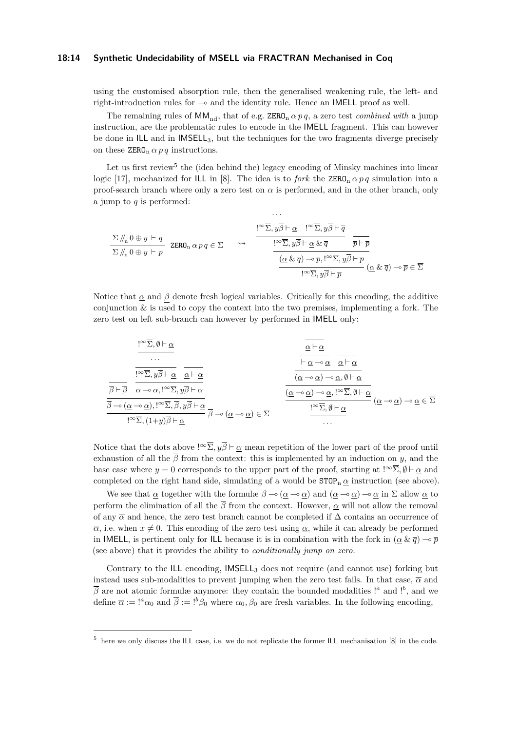#### **18:14 Synthetic Undecidability of MSELL via FRACTRAN Mechanised in Coq**

using the customised absorption rule, then the generalised weakening rule, the left- and right-introduction rules for ⊸ and the identity rule. Hence an IMELL proof as well.

The remaining rules of  $\text{MM}_{nd}$ , that of e.g. ZERO<sub>n</sub>  $\alpha p q$ , a zero test *combined with* a jump instruction, are the problematic rules to encode in the IMELL fragment. This can however be done in ILL and in IMSELL3, but the techniques for the two fragments diverge precisely on these  $\text{ZERO}_n \alpha p q$  instructions.

Let us first review<sup>5</sup> the (idea behind the) legacy encoding of Minsky machines into linear logic [17], mechanized for ILL in [8]. The idea is to *fork* the  $\text{ZERO}_n \alpha p q$  simulation into a proof-search branch where only a zero test on  $\alpha$  is performed, and in the other branch, only a jump to *q* is performed:

$$
\frac{\Sigma \mathop / \mathop \bigwedge \limits_{n} 0 \oplus y \ \vdash q \quad \ \, \text{ZERO}_n \ \alpha \ p \ q \in \Sigma \quad \ \ \leadsto \quad \frac{\overbrace{!^\infty \overline{\Sigma}, y \overline{\beta} \vdash \underline{\alpha} \quad !^\infty \overline{\Sigma}, y \overline{\beta} \vdash \overline{q}}}{\underline{!^\infty \overline{\Sigma}, y \overline{\beta} \vdash \underline{\alpha} \ \& \ \overline{q} \quad \ \, \overline{p} \vdash \overline{p}}}{\underline{(\underline{\alpha} \ \& \ \overline{q}) \ \neg \ \overline{p}, !^\infty \overline{\Sigma}, y \overline{\beta} \vdash \overline{p}}}{\underline{!^\infty \overline{\Sigma}, y \overline{\beta} \vdash \overline{p}}}}\ (\underline{\alpha} \ \& \ \overline{q}) \ \neg \overline{p} \in \overline{\Sigma}
$$

Notice that  $\alpha$  and  $\beta$  denote fresh logical variables. Critically for this encoding, the additive conjunction  $\&$  is used to copy the context into the two premises, implementing a fork. The zero test on left sub-branch can however by performed in IMELL only:

$$
\frac{\frac{\alpha}{\alpha}+\alpha}{\alpha}
$$
\n...\n
$$
\frac{\overline{\alpha}+\alpha}{\overline{\beta}+\overline{\beta}}\quad \frac{\alpha}{\alpha}\rightarrow\alpha,\ \frac{\alpha}{\alpha}+\alpha
$$
\n
$$
\frac{\overline{\alpha}+\alpha}{\overline{\beta}+\overline{\beta}}\quad \frac{\overline{\alpha}\rightarrow\alpha,\ \alpha,\beta}\alpha,\ \frac{\overline{\alpha}+\alpha}{\alpha}\beta,\ \frac{\overline{\alpha}+\alpha}{\overline{\beta}+\alpha}}{\overline{\beta}\rightarrow(\alpha-\alpha),\beta\rightarrow\Sigma,\ \overline{\beta},\ \overline{\beta}\rightarrow\alpha}
$$
\n
$$
\frac{\overline{\alpha}-\alpha}{\overline{\beta}-\alpha} \quad \frac{\overline{\alpha}-\alpha,\beta}{\overline{\beta}+\alpha}
$$
\n
$$
\frac{\overline{\alpha}-\alpha}{\overline{\beta}-\alpha} \quad \frac{\overline{\alpha}-\alpha,\beta}{\overline{\beta}+\alpha}
$$
\n
$$
\frac{\overline{\alpha}-\alpha,\beta}{\overline{\beta}+\alpha} \quad \frac{\overline{\alpha}-\alpha,\beta}{\overline{\beta}+\alpha}
$$
\n
$$
\frac{\overline{\alpha}-\alpha,\beta}{\overline{\beta}+\alpha} \quad (\alpha-\alpha)\rightarrow\alpha\in\Sigma
$$

Notice that the dots above  $\cdot^{\infty}$ ,  $y\overline{\beta}$  ⊢ *α* mean repetition of the lower part of the proof until exhaustion of all the  $\beta$  from the context: this is implemented by an induction on *y*, and the base case where  $y = 0$  corresponds to the upper part of the proof, starting at  $\cdot^{\infty}$  $\overline{\Sigma}$ ,  $\emptyset \vdash \alpha$  and completed on the right hand side, simulating of a would be  $\text{STOP}_n \alpha$  instruction (see above).

We see that  $\underline{\alpha}$  together with the formulæ  $\overline{\beta} \rightarrow (\underline{\alpha} \rightarrow \underline{\alpha})$  and  $(\underline{\alpha} \rightarrow \underline{\alpha}) \rightarrow \underline{\alpha}$  in  $\overline{\Sigma}$  allow  $\underline{\alpha}$  to perform the elimination of all the  $\overline{\beta}$  from the context. However,  $\alpha$  will not allow the removal of any  $\overline{\alpha}$  and hence, the zero test branch cannot be completed if  $\Delta$  contains an occurrence of  $\overline{\alpha}$ , i.e. when  $x \neq 0$ . This encoding of the zero test using  $\alpha$ , while it can already be performed in IMELL, is pertinent only for ILL because it is in combination with the fork in  $(\alpha \& \overline{q}) \rightarrow \overline{p}$ (see above) that it provides the ability to *conditionally jump on zero.*

Contrary to the ILL encoding, IMSELL<sup>3</sup> does not require (and cannot use) forking but instead uses sub-modalities to prevent jumping when the zero test fails. In that case,  $\bar{\alpha}$  and  $\overline{\beta}$  are not atomic formulæ anymore: they contain the bounded modalities !<sup>*a*</sup> and !<sup>*b*</sup>, and we define  $\overline{\alpha} := I^a \alpha_0$  and  $\overline{\beta} := I^b \beta_0$  where  $\alpha_0, \beta_0$  are fresh variables. In the following encoding,

 $5$  here we only discuss the ILL case, i.e. we do not replicate the former ILL mechanisation [8] in the code.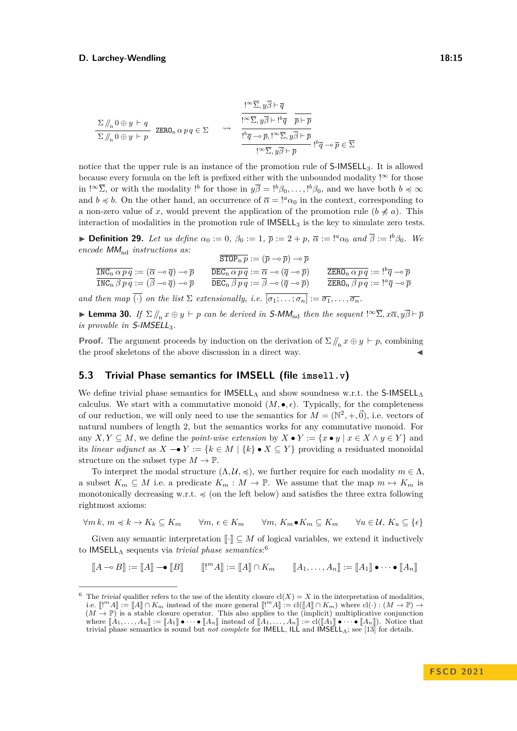$$
\frac{\Sigma \mathop / \mathop / \nolimits_n 0 \oplus y \vdash q}_{\Sigma \mathop / \nolimits_n 0 \oplus y \vdash p} \text{ ZERO}_n \alpha \, p \, q \in \Sigma \qquad\leadsto \qquad \frac{\frac{!{}^{\infty} \overline{\Sigma}, y \overline{\beta} \vdash \overline{q}}{!^{\infty} \overline{\Sigma}, y \overline{\beta} \vdash !^b \overline{q}}}{\frac{!{}^b \overline{q} \multimap \overline{p}, !^{\infty} \overline{\Sigma}, y \overline{\beta} \vdash \overline{p}}{!^{\infty} \overline{\Sigma}, y \overline{\beta} \vdash \overline{p}}}{\frac{!{}^b \overline{q} \multimap \overline{p}, !^{\infty} \overline{\Sigma}, y \overline{\beta} \vdash \overline{p}}{!^b \overline{q} \multimap \overline{p}}}, \frac{!}{!^b \overline{q} \multimap \overline{p} \in \overline{\Sigma}
$$

notice that the upper rule is an instance of the promotion rule of S-IMSELL3. It is allowed because every formula on the left is prefixed either with the unbounded modality ! $\infty$  for those in  $\left[\infty, \overline{\Sigma}\right]$ , or with the modality  $\left[\infty, \overline{\beta}\right] = \left[\infty, \beta_0, \ldots, \left[\infty, \beta_0\right] \right]$ , and we have both  $b \preccurlyeq \infty$ and  $b \preccurlyeq b$ . On the other hand, an occurrence of  $\bar{\alpha} = !^a \alpha_0$  in the context, corresponding to a non-zero value of x, would prevent the application of the promotion rule  $(b \nless a)$ . This interaction of modalities in the promotion rule of  $IMSELL<sub>3</sub>$  is the key to simulate zero tests.

▶ **Definition 29.** Let us define  $\alpha_0 := 0$ ,  $\beta_0 := 1$ ,  $\bar{p} := 2 + p$ ,  $\bar{\alpha} := \binom{a}{\alpha_0}$  and  $\bar{\beta} := \binom{b}{0}$ . We *encode*  $MM_{nd}$  *instructions as:* 

$$
\frac{\overline{\text{STOP}_{n} p}}{\overline{\text{INC}_{n} \, \beta \, p \, q}} := (\overline{\alpha} \neg \overline{q}) \neg \overline{p} \qquad \frac{\overline{\text{STOP}_{n} p}}{\overline{\text{DEC}_{n} \, \beta \, p \, q}} := (\overline{p} \neg \overline{p}) \neg \overline{p} \qquad \frac{\overline{\text{DEC}_{n} \, \alpha \, p \, q}}{\overline{\text{DEC}_{n} \, \beta \, p \, q}} := (\overline{p} \neg \overline{p}) \qquad \frac{\overline{\text{ZERO}_{n} \, \alpha \, p \, q}}{\overline{\text{ZERO}_{n} \, \beta \, p \, q}} := \frac{!^{b} \overline{q} \neg \overline{p}}{!^{a} \neg \overline{p}}
$$

*and then map*  $\overline{(\cdot)}$  *on the list*  $\Sigma$  *extensionally, i.e.*  $\overline{[\sigma_1; \ldots; \sigma_n]} := \overline{\sigma_1}, \ldots, \overline{\sigma_n}$ .

▶ **Lemma 30.** *If*  $\Sigma / \sqrt{n}$  *x*  $\oplus$  *y*  $\vdash$  *p can be derived in S-MM*<sub>nd</sub> *then the sequent*  $!\infty \overline{\Sigma}, x\overline{\alpha}, y\overline{\beta} \vdash \overline{p}$ *is provable in S-IMSELL*<sub>3</sub>.

**Proof.** The argument proceeds by induction on the derivation of  $\Sigma / \mathbf{r}_n x \oplus y \vdash p$ , combining the proof skeletons of the above discussion in a direct way.

## **5.3 Trivial Phase semantics for IMSELL (file [imsell.v](https://github.com/uds-psl/coq-library-undecidability/blob/FSCD-2021/theories/ILL/Ll/imsell.v))**

We define trivial phase semantics for  $\mathsf{IMSELL}_\Lambda$  and show soundness w.r.t. the S-IMSELL $_\Lambda$ calculus. We start with a commutative monoid  $(M, \bullet, \epsilon)$ . Typically, for the completeness of our reduction, we will only need to use the semantics for  $M = (\mathbb{N}^2, +, \vec{0})$ , i.e. vectors of natural numbers of length 2, but the semantics works for any commutative monoid. For any  $X, Y \subseteq M$ , we define the *point-wise extension* by  $X \bullet Y := \{x \bullet y \mid x \in X \land y \in Y\}$  and its *linear adjunct* as  $X \rightarrow Y := \{k \in M \mid \{k\} \bullet X \subseteq Y\}$  providing a residuated monoidal structure on the subset type  $M \to \mathbb{P}$ .

To interpret the modal structure  $(\Lambda, \mathcal{U}, \preccurlyeq)$ , we further require for each modality  $m \in \Lambda$ , a subset  $K_m \subseteq M$  i.e. a predicate  $K_m : M \to \mathbb{P}$ . We assume that the map  $m \mapsto K_m$  is monotonically decreasing w.r.t.  $\leq$  (on the left below) and satisfies the three extra following rightmost axioms:

 $\forall m \, k, m \preccurlyeq k \rightarrow K_k \subseteq K_m$   $\forall m, \, \epsilon \in K_m$   $\forall m, K_m \bullet K_m \subseteq K_m$   $\forall u \in \mathcal{U}, K_u \subseteq \{\epsilon\}$ 

Given any semantic interpretation  $\llbracket \cdot \rrbracket \subseteq M$  of logical variables, we extend it inductively to IMSELL<sub>A</sub> sequents via *trivial phase semantics*:<sup>6</sup>

 $[[A \multimap B]] := [[A]] \multimap [[B]]$   $[[!^m A]] := [[A]] \cap K_m$   $[[A_1, \ldots, A_n]] := [[A_1]] \bullet \cdots \bullet [[A_n]]$ 

<sup>&</sup>lt;sup>6</sup> The *trivial* qualifier refers to the use of the identity closure  $cl(X) = X$  in the interpretation of modalities, i.e.  $[[<sup>m</sup>A]] := [[A]] \cap K_m$  instead of the more general  $[[<sup>m</sup>A]] := cl([A]] \cap K_m)$  where  $cl(·): (M \to \mathbb{P}) \to$  $(M \rightarrow P)^n$  is a stable closure operator. This also applies to the (implicit) multiplicative conjunction where  $[[A_1, \ldots, A_n]] := [[A_1]] \bullet \cdots \bullet [[A_n]]$  instead of  $[[A_1, \ldots, A_n]] := \mathrm{cl}([A_1]] \bullet \cdots \bullet [[A_n]])$ . Notice that trivial phase semantics is sound but *not complete* for IMELL, ILL and IMSELLΛ; see [13] for details.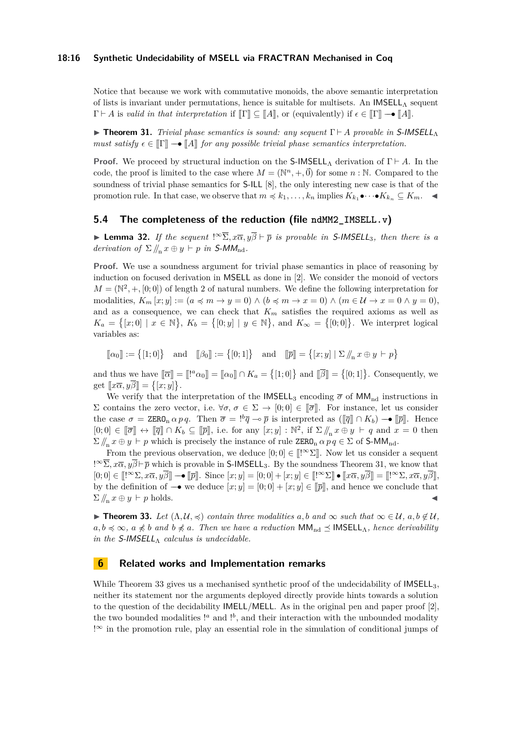Notice that because we work with commutative monoids, the above semantic interpretation of lists is invariant under permutations, hence is suitable for multisets. An IMSELL<sub>A</sub> sequent  $\Gamma \vdash A$  is *valid in that interpretation* if  $\llbracket \Gamma \rrbracket \subset \llbracket A \rrbracket$ , or (equivalently) if  $\epsilon \in \llbracket \Gamma \rrbracket \rightarrow \llbracket A \rrbracket$ .

▶ **Theorem 31.** *Trivial phase semantics is sound: any sequent* Γ ⊢ *A provable in* S-IMSELL<sup>Λ</sup> *must satisfy*  $\epsilon \in \mathbb{T}$ ]  $\rightarrow \mathbb{T}$  *A*] *for any possible trivial phase semantics interpretation.* 

**Proof.** We proceed by structural induction on the  $S$ -IMSELL<sub>Λ</sub> derivation of  $\Gamma \vdash A$ . In the code, the proof is limited to the case where  $M = (\mathbb{N}^n, +, \vec{0})$  for some  $n : \mathbb{N}$ . Compared to the soundness of trivial phase semantics for S-ILL [8], the only interesting new case is that of the promotion rule. In that case, we observe that  $m \preccurlyeq k_1, \ldots, k_n$  implies  $K_{k_1} \bullet \cdots \bullet K_{k_n} \subseteq K_m$ .

### **5.4 The completeness of the reduction (file [ndMM2\\_IMSELL.v](https://github.com/uds-psl/coq-library-undecidability/blob/FSCD-2021/theories/ILL/Reductions/ndMM2_IMSELL.v))**

**► Lemma 32.** *If the sequent*  $\cdot^\infty \Sigma$ ,  $x\overline{\alpha}$ ,  $y\overline{\beta}$   $\vdash \overline{p}$  *is provable in* S-IMSELL<sub>3</sub>, then there *is a derivation of*  $\Sigma / /_{n} x \oplus y \vdash p$  *in* S-MM<sub>nd</sub>.

**Proof.** We use a soundness argument for trivial phase semantics in place of reasoning by induction on focused derivation in MSELL as done in [2]. We consider the monoid of vectors  $M = (\mathbb{N}^2, +, [0, 0])$  of length 2 of natural numbers. We define the following interpretation for modalities,  $K_m[x; y] := (a \preccurlyeq m \rightarrow y = 0) \wedge (b \preccurlyeq m \rightarrow x = 0) \wedge (m \in \mathcal{U} \rightarrow x = 0 \wedge y = 0),$ and as a consequence, we can check that  $K_m$  satisfies the required axioms as well as  $K_a = \{ [x; 0] \mid x \in \mathbb{N} \}, K_b = \{ [0; y] \mid y \in \mathbb{N} \}, \text{ and } K_\infty = \{ [0; 0] \}.$  We interpret logical variables as:

 $[\![\alpha_0]\!] := \{ [1;0] \} \text{ and } [\![\beta_0]\!] := \{ [0;1] \} \text{ and } [\![\overline{p}]\!] = \{ [x;y] \mid \Sigma \, \mathcal{V}_n \, x \oplus y \vdash p \}$ 

and thus we have  $[\![\overline{\alpha}]\!] = [\![!^a\alpha_0]\!] = [\![\alpha_0]\!] \cap K_a = \{ [1;0] \}$  and  $[\![\overline{\beta}]\!] = \{ [0;1] \}$ . Consequently, we  $\text{get } [x\overline{\alpha}, y\overline{\beta}] = \{[x; y]\}.$ 

We verify that the interpretation of the IMSELL<sub>3</sub> encoding  $\bar{\sigma}$  of MM<sub>nd</sub> instructions in Σ contains the zero vector, i.e.  $\forall \sigma, \sigma \in \Sigma \rightarrow [0,0] \in [\overline{\sigma}]$ . For instance, let us consider the case  $\sigma = \text{ZERO}_n \alpha p q$ . Then  $\overline{\sigma} = \frac{1}{2} \overline{q} \to \overline{p}$  is interpreted as  $([\overline{q}]] \cap K_b$   $\to [\overline{p}]]$ . Hence  $[0;0] \in [\![\overline{\sigma}]\!] \leftrightarrow [\![\overline{q}]\!] \cap K_b \subseteq [\![\overline{p}]\!]$ , i.e. for any  $[x; y] : \mathbb{N}^2$ , if  $\Sigma / \! /_n x \oplus y \vdash q$  and  $x = 0$  then  $\Sigma / \! /_n x \oplus y \vdash p$  which is precisely the instance of rule ZERO<sub>n</sub>  $\alpha p q \in \Sigma$  of S-MM<sub>nd</sub>.

From the previous observation, we deduce  $[0;0] \in [[\infty \Sigma]]$ . Now let us consider a sequent  $\cdot \infty$ *[* $\infty \overline{\Sigma}$ ,  $x\overline{\alpha}$ ,  $y\overline{\beta}$   $\vdash \overline{p}$  which is provable in S-IMSELL<sub>3</sub>. By the soundness Theorem 31, we know that  $[0;0] \in [[\infty \Sigma, x\overline{\alpha}, y\overline{\beta}]] \longrightarrow [[\overline{p}]]$ . Since  $[x; y] = [0;0] + [x; y] \in [[\infty \Sigma] \bullet [[x\overline{\alpha}, y\overline{\beta}]] = [[\infty \Sigma, x\overline{\alpha}, y\overline{\beta}]]$ , by the definition of  $\rightarrow$  we deduce  $[x; y] = [0; 0] + [x; y] \in [\bar{p}]$ , and hence we conclude that  $\sum \mathbf{x} \oplus y \vdash p$  holds.

▶ **Theorem 33.** *Let*  $(\Lambda, \mathcal{U}, \preccurlyeq)$  *contain three modalities*  $a, b$  *and*  $\infty$  *such that*  $\infty \in \mathcal{U}$ *,*  $a, b \notin \mathcal{U}$ *,*  $a, b \leq \infty$ ,  $a \nleq b$  and  $b \nleq a$ . Then we have a reduction  $MM_{nd} \leq \mathsf{IMSEL}_{\Lambda}$ , hence derivability *in the*  $S$ -*IMSELL* $\Lambda$  *calculus is undecidable.* 

## **6 Related works and Implementation remarks**

While Theorem 33 gives us a mechanised synthetic proof of the undecidability of  $IMSEL<sub>3</sub>$ , neither its statement nor the arguments deployed directly provide hints towards a solution to the question of the decidability IMELL/MELL. As in the original pen and paper proof [2], the two bounded modalities !<sup>*a*</sup> and !<sup>*b*</sup>, and their interaction with the unbounded modality !<sup>∞</sup> in the promotion rule, play an essential role in the simulation of conditional jumps of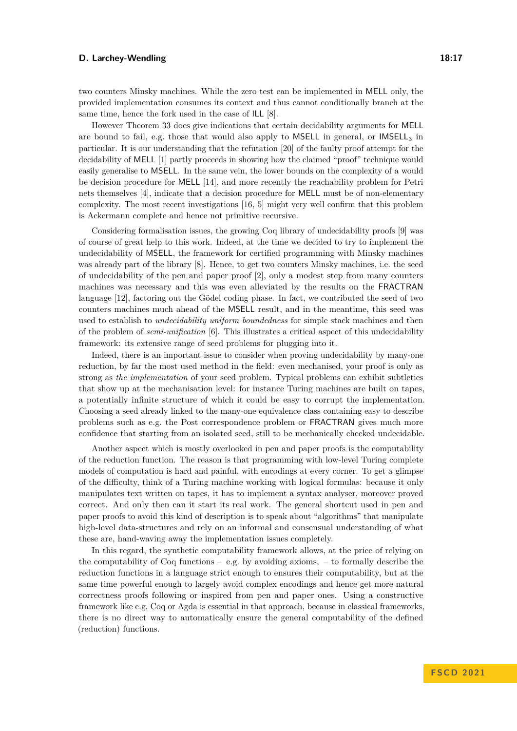two counters Minsky machines. While the zero test can be implemented in MELL only, the provided implementation consumes its context and thus cannot conditionally branch at the same time, hence the fork used in the case of ILL [8].

However Theorem 33 does give indications that certain decidability arguments for MELL are bound to fail, e.g. those that would also apply to MSELL in general, or  $IMSEL<sub>3</sub>$  in particular. It is our understanding that the refutation [20] of the faulty proof attempt for the decidability of MELL [1] partly proceeds in showing how the claimed "proof" technique would easily generalise to MSELL. In the same vein, the lower bounds on the complexity of a would be decision procedure for MELL [14], and more recently the reachability problem for Petri nets themselves [4], indicate that a decision procedure for MELL must be of non-elementary complexity. The most recent investigations [16, 5] might very well confirm that this problem is Ackermann complete and hence not primitive recursive.

Considering formalisation issues, the growing [Coq library of undecidability proofs](https://github.com/uds-psl/coq-library-undecidability) [9] was of course of great help to this work. Indeed, at the time we decided to try to implement the undecidability of MSELL, the framework for certified programming with Minsky machines was already part of the library [8]. Hence, to get two counters Minsky machines, i.e. the seed of undecidability of the pen and paper proof [2], only a modest step from many counters machines was necessary and this was even alleviated by the results on the FRACTRAN language [12], factoring out the Gödel coding phase. In fact, we contributed the seed of two counters machines much ahead of the MSELL result, and in the meantime, this seed was used to establish to *undecidability uniform boundedness* for simple stack machines and then of the problem of *semi-unification* [6]. This illustrates a critical aspect of this undecidability framework: its extensive range of seed problems for plugging into it.

Indeed, there is an important issue to consider when proving undecidability by many-one reduction, by far the most used method in the field: even mechanised, your proof is only as strong as *the implementation* of your seed problem. Typical problems can exhibit subtleties that show up at the mechanisation level: for instance Turing machines are built on tapes, a potentially infinite structure of which it could be easy to corrupt the implementation. Choosing a seed already linked to the many-one equivalence class containing easy to describe problems such as e.g. the Post correspondence problem or FRACTRAN gives much more confidence that starting from an isolated seed, still to be mechanically checked undecidable.

Another aspect which is mostly overlooked in pen and paper proofs is the computability of the reduction function. The reason is that programming with low-level Turing complete models of computation is hard and painful, with encodings at every corner. To get a glimpse of the difficulty, think of a Turing machine working with logical formulas: because it only manipulates text written on tapes, it has to implement a syntax analyser, moreover proved correct. And only then can it start its real work. The general shortcut used in pen and paper proofs to avoid this kind of description is to speak about "algorithms" that manipulate high-level data-structures and rely on an informal and consensual understanding of what these are, hand-waving away the implementation issues completely.

In this regard, the synthetic computability framework allows, at the price of relying on the computability of  $\text{Coq}$  functions – e.g. by avoiding axioms, – to formally describe the reduction functions in a language strict enough to ensures their computability, but at the same time powerful enough to largely avoid complex encodings and hence get more natural correctness proofs following or inspired from pen and paper ones. Using a constructive framework like e.g. Coq or Agda is essential in that approach, because in classical frameworks, there is no direct way to automatically ensure the general computability of the defined (reduction) functions.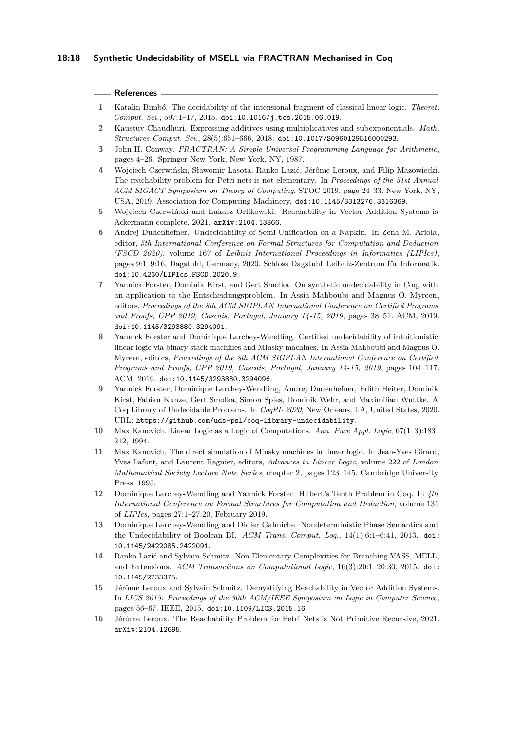### **References**

- **1** Katalin Bimbó. The decidability of the intensional fragment of classical linear logic. *Theoret. Comput. Sci.*, 597:1–17, 2015. [doi:10.1016/j.tcs.2015.06.019](https://doi.org/10.1016/j.tcs.2015.06.019).
- **2** Kaustuv Chaudhuri. Expressing additives using multiplicatives and subexponentials. *Math. Structures Comput. Sci.*, 28(5):651–666, 2018. [doi:10.1017/S0960129516000293](https://doi.org/10.1017/S0960129516000293).
- **3** John H. Conway. *FRACTRAN: A Simple Universal Programming Language for Arithmetic*, pages 4–26. Springer New York, New York, NY, 1987.
- **4** Wojciech Czerwiński, Sławomir Lasota, Ranko Lazić, Jérôme Leroux, and Filip Mazowiecki. The reachability problem for Petri nets is not elementary. In *Proceedings of the 51st Annual ACM SIGACT Symposium on Theory of Computing*, STOC 2019, page 24–33, New York, NY, USA, 2019. Association for Computing Machinery. [doi:10.1145/3313276.3316369](https://doi.org/10.1145/3313276.3316369).
- **5** Wojciech Czerwiński and Łukasz Orlikowski. Reachability in Vector Addition Systems is Ackermann-complete, 2021. [arXiv:2104.13866](http://arxiv.org/abs/2104.13866).
- **6** Andrej Dudenhefner. Undecidability of Semi-Unification on a Napkin. In Zena M. Ariola, editor, *5th International Conference on Formal Structures for Computation and Deduction (FSCD 2020)*, volume 167 of *Leibniz International Proceedings in Informatics (LIPIcs)*, pages 9:1–9:16, Dagstuhl, Germany, 2020. Schloss Dagstuhl–Leibniz-Zentrum für Informatik. [doi:10.4230/LIPIcs.FSCD.2020.9](https://doi.org/10.4230/LIPIcs.FSCD.2020.9).
- **7** Yannick Forster, Dominik Kirst, and Gert Smolka. On synthetic undecidability in Coq, with an application to the Entscheidungsproblem. In Assia Mahboubi and Magnus O. Myreen, editors, *Proceedings of the 8th ACM SIGPLAN International Conference on Certified Programs and Proofs, CPP 2019, Cascais, Portugal, January 14-15, 2019*, pages 38–51. ACM, 2019. [doi:10.1145/3293880.3294091](https://doi.org/10.1145/3293880.3294091).
- **8** Yannick Forster and Dominique Larchey-Wendling. Certified undecidability of intuitionistic linear logic via binary stack machines and Minsky machines. In Assia Mahboubi and Magnus O. Myreen, editors, *Proceedings of the 8th ACM SIGPLAN International Conference on Certified Programs and Proofs, CPP 2019, Cascais, Portugal, January 14-15, 2019*, pages 104–117. ACM, 2019. [doi:10.1145/3293880.3294096](https://doi.org/10.1145/3293880.3294096).
- **9** Yannick Forster, Dominique Larchey-Wendling, Andrej Dudenhefner, Edith Heiter, Dominik Kirst, Fabian Kunze, Gert Smolka, Simon Spies, Dominik Wehr, and Maximilian Wuttke. A Coq Library of Undecidable Problems. In *CoqPL 2020*, New Orleans, LA, United States, 2020. URL: <https://github.com/uds-psl/coq-library-undecidability>.
- **10** Max Kanovich. Linear Logic as a Logic of Computations. *Ann. Pure Appl. Logic*, 67(1–3):183– 212, 1994.
- **11** Max Kanovich. The direct simulation of Minsky machines in linear logic. In Jean-Yves Girard, Yves Lafont, and Laurent Regnier, editors, *Advances in Linear Logic*, volume 222 of *London Mathematical Society Lecture Note Series*, chapter 2, pages 123–145. Cambridge University Press, 1995.
- **12** Dominique Larchey-Wendling and Yannick Forster. Hilbert's Tenth Problem in Coq. In *4th International Conference on Formal Structures for Computation and Deduction*, volume 131 of *LIPIcs*, pages 27:1–27:20, February 2019.
- **13** Dominique Larchey-Wendling and Didier Galmiche. Nondeterministic Phase Semantics and the Undecidability of Boolean BI. *ACM Trans. Comput. Log.*, 14(1):6:1–6:41, 2013. [doi:](https://doi.org/10.1145/2422085.2422091) [10.1145/2422085.2422091](https://doi.org/10.1145/2422085.2422091).
- **14** Ranko Lazić and Sylvain Schmitz. Non-Elementary Complexities for Branching VASS, MELL, and Extensions. *ACM Transactions on Computational Logic*, 16(3):20:1–20:30, 2015. [doi:](https://doi.org/10.1145/2733375) [10.1145/2733375](https://doi.org/10.1145/2733375).
- **15** Jérôme Leroux and Sylvain Schmitz. Demystifying Reachability in Vector Addition Systems. In *LICS 2015: Proceedings of the 30th ACM/IEEE Symposium on Logic in Computer Science*, pages 56–67. IEEE, 2015. [doi:10.1109/LICS.2015.16](https://doi.org/10.1109/LICS.2015.16).
- **16** Jérôme Leroux. The Reachability Problem for Petri Nets is Not Primitive Recursive, 2021. [arXiv:2104.12695](http://arxiv.org/abs/2104.12695).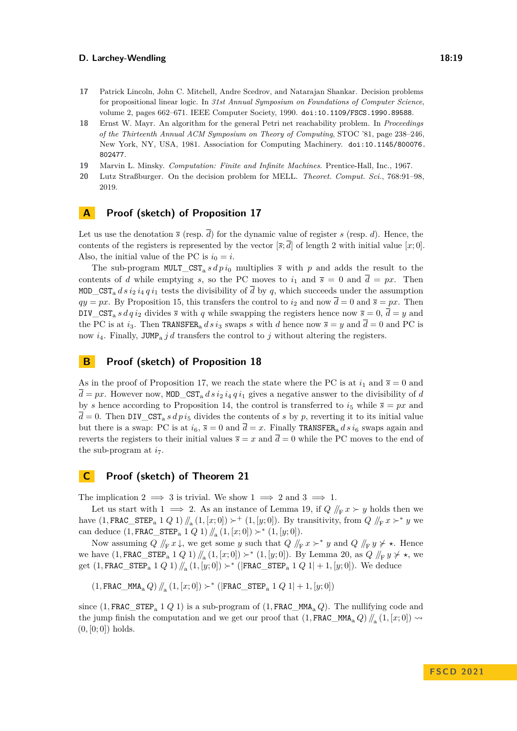- **17** Patrick Lincoln, John C. Mitchell, Andre Scedrov, and Natarajan Shankar. Decision problems for propositional linear logic. In *31st Annual Symposium on Foundations of Computer Science*, volume 2, pages 662–671. IEEE Computer Society, 1990. [doi:10.1109/FSCS.1990.89588](https://doi.org/10.1109/FSCS.1990.89588).
- **18** Ernst W. Mayr. An algorithm for the general Petri net reachability problem. In *Proceedings of the Thirteenth Annual ACM Symposium on Theory of Computing*, STOC '81, page 238–246, New York, NY, USA, 1981. Association for Computing Machinery. [doi:10.1145/800076.](https://doi.org/10.1145/800076.802477) [802477](https://doi.org/10.1145/800076.802477).
- **19** Marvin L. Minsky. *Computation: Finite and Infinite Machines*. Prentice-Hall, Inc., 1967.
- **20** Lutz Straßburger. On the decision problem for MELL. *Theoret. Comput. Sci.*, 768:91–98, 2019.

## **A Proof (sketch) of Proposition 17**

Let us use the denotation  $\bar{s}$  (resp.  $\bar{d}$ ) for the dynamic value of register *s* (resp. *d*). Hence, the contents of the registers is represented by the vector  $[\overline{s}, \overline{d}]$  of length 2 with initial value  $[x, 0]$ . Also, the initial value of the PC is  $i_0 = i$ .

The sub-program  $MULT_CST_a s dp i_0$  multiplies  $\overline{s}$  with  $p$  and adds the result to the contents of *d* while emptying *s*, so the PC moves to  $i_1$  and  $\bar{s} = 0$  and  $\bar{d} = px$ . Then MOD CST<sub>a</sub> *d s i*<sub>2</sub> *i*<sub>4</sub> *q i*<sub>1</sub> tests the divisibility of  $\overline{d}$  by *q*, which succeeds under the assumption  $qy = px$ . By Proposition 15, this transfers the control to  $i_2$  and now  $\overline{d} = 0$  and  $\overline{s} = px$ . Then DIV\_CST<sub>a</sub> s d q i<sub>2</sub> divides  $\overline{s}$  with q while swapping the registers hence now  $\overline{s} = 0$ ,  $\overline{d} = y$  and the PC is at  $i_3$ . Then TRANSFER<sub>a</sub>  $d s i_3$  swaps  $s$  with  $d$  hence now  $\overline{s} = y$  and  $\overline{d} = 0$  and PC is now  $i_4$ . Finally, JUMP<sub>a</sub>  $j$  d transfers the control to  $j$  without altering the registers.

## **B Proof (sketch) of Proposition 18**

As in the proof of Proposition 17, we reach the state where the PC is at  $i_1$  and  $\bar{s} = 0$  and  $d = px$ . However now, MOD CST<sub>a</sub>  $d s i_2 i_4 q i_1$  gives a negative answer to the divisibility of *d* by *s* hence according to Proposition 14, the control is transferred to  $i<sub>5</sub>$  while  $\bar{s} = px$  and  $\overline{d} = 0$ . Then DIV\_CST<sub>a</sub> *s d p i*<sub>5</sub> divides the contents of *s* by *p*, reverting it to its initial value but there is a swap: PC is at  $i_6$ ,  $\bar{s} = 0$  and  $\bar{d} = x$ . Finally TRANSFER<sub>a</sub> ds  $i_6$  swaps again and reverts the registers to their initial values  $\overline{s} = x$  and  $\overline{d} = 0$  while the PC moves to the end of the sub-program at  $i_7$ .

## **C Proof (sketch) of Theorem 21**

The implication 2  $\implies$  3 is trivial. We show 1  $\implies$  2 and 3  $\implies$  1.

Let us start with 1  $\implies$  2. As an instance of Lemma 19, if  $Q /_{F} x \succ y$  holds then we have  $(1, \text{FRAC\_STEP}_a 1 Q 1) / \mathcal{L}_{a}(1,[x;0]) \succ^+ (1,[y;0])$ . By transitivity, from  $Q / \mathcal{L}_{F} x \succ^* y$  we can deduce  $(1, \text{FRAC\_STEP}_a 1 Q 1) / \! / \! / \! (1, [x; 0]) \succ^* (1, [y; 0]).$ 

Now assuming  $Q \nvert_{F} x \downarrow$ , we get some *y* such that  $Q \nvert_{F} x \succ^* y$  and  $Q \nvert_{F} y \not\vdash \star$ . Hence we have  $(1, \text{FRAC\_STEP}_a 1 Q 1) / \mathcal{L}_a (1, [x; 0]) \succ^* (1, [y; 0])$ . By Lemma 20, as  $\overline{Q} / \mathcal{L}_F y \nless \star$ , we get  $(1, \text{FRAC\_STEP}_a 1 Q 1) / \ell_a (1, [y; 0]) \succ^* (|\text{FRAC\_STEP}_a 1 Q 1| + 1, [y; 0])$ . We deduce

 $\left(1, \mathtt{FRAC\_MMA}_{\mathrm{a}}\,Q\right)/\!\!/_{\!\!\mathrm{a}}\left(1,[x;0])\succ^*\left(|\mathtt{FRAC\_STEP}_{\mathrm{a}}\;1\;Q\;1|+1,[y;0]\right)$ 

since (1, FRAC STEP<sub>a</sub> 1 *Q* 1) is a sub-program of (1, FRAC MMA<sub>a</sub> *Q*). The nullifying code and the jump finish the computation and we get our proof that  $(1, \texttt{FRAC\_MMA}_a Q) / \! / \! / \! \! a (1, [x; 0]) \sim$  $(0, [0, 0])$  holds.